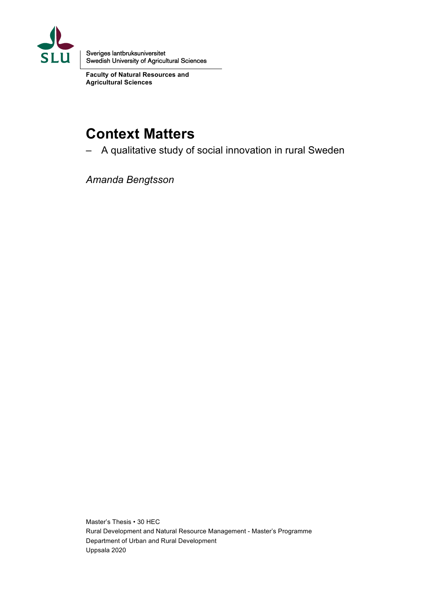

Sveriges lantbruksuniversitet Swedish University of Agricultural Sciences

**Faculty of Natural Resources and Agricultural Sciences**

# **Context Matters**

– A qualitative study of social innovation in rural Sweden

*Amanda Bengtsson*

Master's Thesis • 30 HEC Rural Development and Natural Resource Management - Master's Programme Department of Urban and Rural Development Uppsala 2020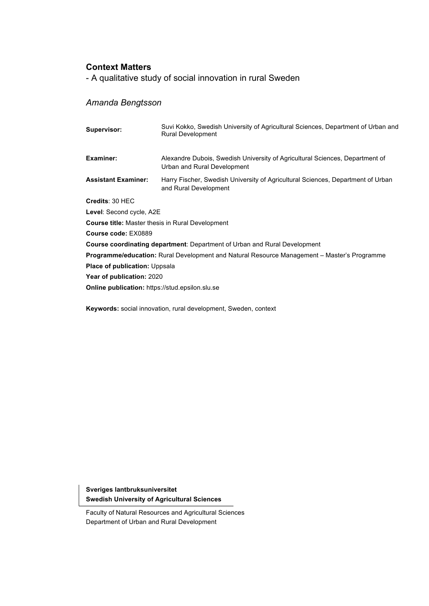# **Context Matters**

- A qualitative study of social innovation in rural Sweden

# *Amanda Bengtsson*

| Supervisor:                                             | Suvi Kokko, Swedish University of Agricultural Sciences, Department of Urban and<br><b>Rural Development</b> |  |  |
|---------------------------------------------------------|--------------------------------------------------------------------------------------------------------------|--|--|
| Examiner:                                               | Alexandre Dubois, Swedish University of Agricultural Sciences, Department of<br>Urban and Rural Development  |  |  |
| <b>Assistant Examiner:</b>                              | Harry Fischer, Swedish University of Agricultural Sciences, Department of Urban<br>and Rural Development     |  |  |
| Credits: 30 HEC                                         |                                                                                                              |  |  |
| Level: Second cycle, A2E                                |                                                                                                              |  |  |
| <b>Course title:</b> Master thesis in Rural Development |                                                                                                              |  |  |
| Course code: EX0889                                     |                                                                                                              |  |  |
|                                                         | <b>Course coordinating department:</b> Department of Urban and Rural Development                             |  |  |
|                                                         | <b>Programme/education:</b> Rural Development and Natural Resource Management – Master's Programme           |  |  |
| Place of publication: Uppsala                           |                                                                                                              |  |  |
| Year of publication: 2020                               |                                                                                                              |  |  |
| <b>Online publication:</b> https://stud.epsilon.slu.se  |                                                                                                              |  |  |

**Keywords:** social innovation, rural development, Sweden, context

**Sveriges lantbruksuniversitet Swedish University of Agricultural Sciences**

Faculty of Natural Resources and Agricultural Sciences Department of Urban and Rural Development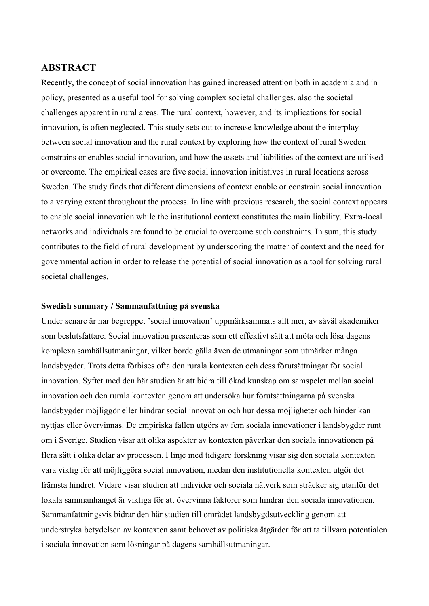# **ABSTRACT**

Recently, the concept of social innovation has gained increased attention both in academia and in policy, presented as a useful tool for solving complex societal challenges, also the societal challenges apparent in rural areas. The rural context, however, and its implications for social innovation, is often neglected. This study sets out to increase knowledge about the interplay between social innovation and the rural context by exploring how the context of rural Sweden constrains or enables social innovation, and how the assets and liabilities of the context are utilised or overcome. The empirical cases are five social innovation initiatives in rural locations across Sweden. The study finds that different dimensions of context enable or constrain social innovation to a varying extent throughout the process. In line with previous research, the social context appears to enable social innovation while the institutional context constitutes the main liability. Extra-local networks and individuals are found to be crucial to overcome such constraints. In sum, this study contributes to the field of rural development by underscoring the matter of context and the need for governmental action in order to release the potential of social innovation as a tool for solving rural societal challenges.

### **Swedish summary / Sammanfattning på svenska**

Under senare år har begreppet 'social innovation' uppmärksammats allt mer, av såväl akademiker som beslutsfattare. Social innovation presenteras som ett effektivt sätt att möta och lösa dagens komplexa samhällsutmaningar, vilket borde gälla även de utmaningar som utmärker många landsbygder. Trots detta förbises ofta den rurala kontexten och dess förutsättningar för social innovation. Syftet med den här studien är att bidra till ökad kunskap om samspelet mellan social innovation och den rurala kontexten genom att undersöka hur förutsättningarna på svenska landsbygder möjliggör eller hindrar social innovation och hur dessa möjligheter och hinder kan nyttjas eller övervinnas. De empiriska fallen utgörs av fem sociala innovationer i landsbygder runt om i Sverige. Studien visar att olika aspekter av kontexten påverkar den sociala innovationen på flera sätt i olika delar av processen. I linje med tidigare forskning visar sig den sociala kontexten vara viktig för att möjliggöra social innovation, medan den institutionella kontexten utgör det främsta hindret. Vidare visar studien att individer och sociala nätverk som sträcker sig utanför det lokala sammanhanget är viktiga för att övervinna faktorer som hindrar den sociala innovationen. Sammanfattningsvis bidrar den här studien till området landsbygdsutveckling genom att understryka betydelsen av kontexten samt behovet av politiska åtgärder för att ta tillvara potentialen i sociala innovation som lösningar på dagens samhällsutmaningar.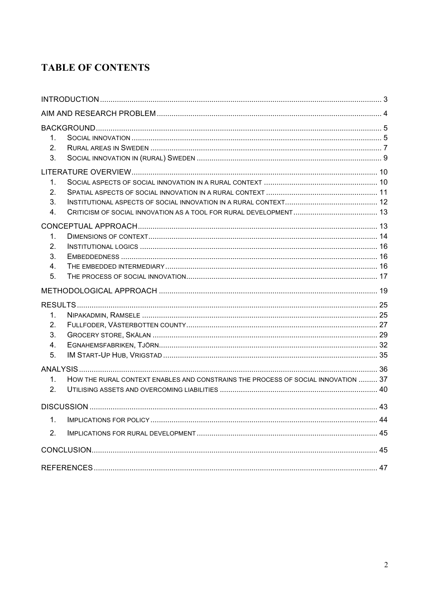# **TABLE OF CONTENTS**

| 1.<br>2.<br>3.                  |                                                                                   |  |  |
|---------------------------------|-----------------------------------------------------------------------------------|--|--|
|                                 |                                                                                   |  |  |
| $\mathbf 1$ .<br>2.<br>3.<br>4. |                                                                                   |  |  |
|                                 |                                                                                   |  |  |
| 1.<br>$2_{-}$<br>3.<br>4.<br>5. |                                                                                   |  |  |
|                                 |                                                                                   |  |  |
|                                 |                                                                                   |  |  |
| 1.<br>2.<br>3.<br>4.<br>5.      |                                                                                   |  |  |
| 1.<br>2.                        | HOW THE RURAL CONTEXT ENABLES AND CONSTRAINS THE PROCESS OF SOCIAL INNOVATION  37 |  |  |
|                                 |                                                                                   |  |  |
| $\mathbf 1$ .<br>2.             |                                                                                   |  |  |
|                                 |                                                                                   |  |  |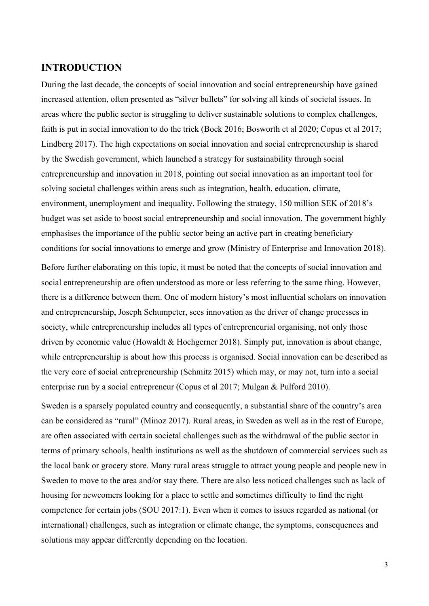# **INTRODUCTION**

During the last decade, the concepts of social innovation and social entrepreneurship have gained increased attention, often presented as "silver bullets" for solving all kinds of societal issues. In areas where the public sector is struggling to deliver sustainable solutions to complex challenges, faith is put in social innovation to do the trick (Bock 2016; Bosworth et al 2020; Copus et al 2017; Lindberg 2017). The high expectations on social innovation and social entrepreneurship is shared by the Swedish government, which launched a strategy for sustainability through social entrepreneurship and innovation in 2018, pointing out social innovation as an important tool for solving societal challenges within areas such as integration, health, education, climate, environment, unemployment and inequality. Following the strategy, 150 million SEK of 2018's budget was set aside to boost social entrepreneurship and social innovation. The government highly emphasises the importance of the public sector being an active part in creating beneficiary conditions for social innovations to emerge and grow (Ministry of Enterprise and Innovation 2018).

Before further elaborating on this topic, it must be noted that the concepts of social innovation and social entrepreneurship are often understood as more or less referring to the same thing. However, there is a difference between them. One of modern history's most influential scholars on innovation and entrepreneurship, Joseph Schumpeter, sees innovation as the driver of change processes in society, while entrepreneurship includes all types of entrepreneurial organising, not only those driven by economic value (Howaldt & Hochgerner 2018). Simply put, innovation is about change, while entrepreneurship is about how this process is organised. Social innovation can be described as the very core of social entrepreneurship (Schmitz 2015) which may, or may not, turn into a social enterprise run by a social entrepreneur (Copus et al 2017; Mulgan & Pulford 2010).

Sweden is a sparsely populated country and consequently, a substantial share of the country's area can be considered as "rural" (Minoz 2017). Rural areas, in Sweden as well as in the rest of Europe, are often associated with certain societal challenges such as the withdrawal of the public sector in terms of primary schools, health institutions as well as the shutdown of commercial services such as the local bank or grocery store. Many rural areas struggle to attract young people and people new in Sweden to move to the area and/or stay there. There are also less noticed challenges such as lack of housing for newcomers looking for a place to settle and sometimes difficulty to find the right competence for certain jobs (SOU 2017:1). Even when it comes to issues regarded as national (or international) challenges, such as integration or climate change, the symptoms, consequences and solutions may appear differently depending on the location.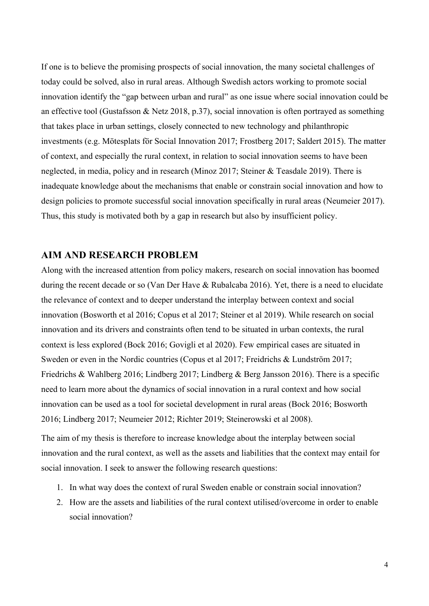If one is to believe the promising prospects of social innovation, the many societal challenges of today could be solved, also in rural areas. Although Swedish actors working to promote social innovation identify the "gap between urban and rural" as one issue where social innovation could be an effective tool (Gustafsson & Netz 2018, p.37), social innovation is often portrayed as something that takes place in urban settings, closely connected to new technology and philanthropic investments (e.g. Mötesplats för Social Innovation 2017; Frostberg 2017; Saldert 2015). The matter of context, and especially the rural context, in relation to social innovation seems to have been neglected, in media, policy and in research (Minoz 2017; Steiner & Teasdale 2019). There is inadequate knowledge about the mechanisms that enable or constrain social innovation and how to design policies to promote successful social innovation specifically in rural areas (Neumeier 2017). Thus, this study is motivated both by a gap in research but also by insufficient policy.

# **AIM AND RESEARCH PROBLEM**

Along with the increased attention from policy makers, research on social innovation has boomed during the recent decade or so (Van Der Have & Rubalcaba 2016). Yet, there is a need to elucidate the relevance of context and to deeper understand the interplay between context and social innovation (Bosworth et al 2016; Copus et al 2017; Steiner et al 2019). While research on social innovation and its drivers and constraints often tend to be situated in urban contexts, the rural context is less explored (Bock 2016; Govigli et al 2020). Few empirical cases are situated in Sweden or even in the Nordic countries (Copus et al 2017; Freidrichs & Lundström 2017; Friedrichs & Wahlberg 2016; Lindberg 2017; Lindberg & Berg Jansson 2016). There is a specific need to learn more about the dynamics of social innovation in a rural context and how social innovation can be used as a tool for societal development in rural areas (Bock 2016; Bosworth 2016; Lindberg 2017; Neumeier 2012; Richter 2019; Steinerowski et al 2008).

The aim of my thesis is therefore to increase knowledge about the interplay between social innovation and the rural context, as well as the assets and liabilities that the context may entail for social innovation. I seek to answer the following research questions:

- 1. In what way does the context of rural Sweden enable or constrain social innovation?
- 2. How are the assets and liabilities of the rural context utilised/overcome in order to enable social innovation?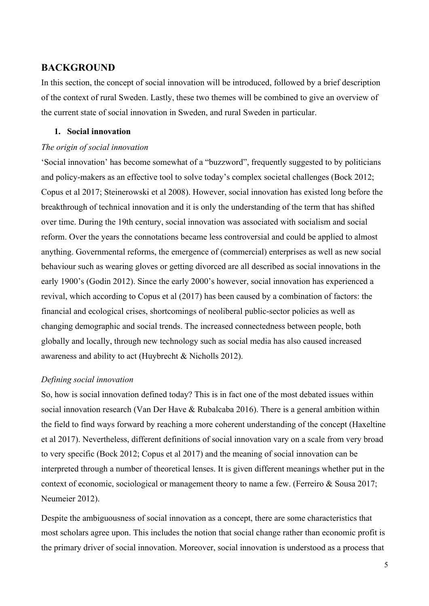# **BACKGROUND**

In this section, the concept of social innovation will be introduced, followed by a brief description of the context of rural Sweden. Lastly, these two themes will be combined to give an overview of the current state of social innovation in Sweden, and rural Sweden in particular.

# **1. Social innovation**

#### *The origin of social innovation*

'Social innovation' has become somewhat of a "buzzword", frequently suggested to by politicians and policy-makers as an effective tool to solve today's complex societal challenges (Bock 2012; Copus et al 2017; Steinerowski et al 2008). However, social innovation has existed long before the breakthrough of technical innovation and it is only the understanding of the term that has shifted over time. During the 19th century, social innovation was associated with socialism and social reform. Over the years the connotations became less controversial and could be applied to almost anything. Governmental reforms, the emergence of (commercial) enterprises as well as new social behaviour such as wearing gloves or getting divorced are all described as social innovations in the early 1900's (Godin 2012). Since the early 2000's however, social innovation has experienced a revival, which according to Copus et al (2017) has been caused by a combination of factors: the financial and ecological crises, shortcomings of neoliberal public-sector policies as well as changing demographic and social trends. The increased connectedness between people, both globally and locally, through new technology such as social media has also caused increased awareness and ability to act (Huybrecht & Nicholls 2012).

### *Defining social innovation*

So, how is social innovation defined today? This is in fact one of the most debated issues within social innovation research (Van Der Have & Rubalcaba 2016). There is a general ambition within the field to find ways forward by reaching a more coherent understanding of the concept (Haxeltine et al 2017). Nevertheless, different definitions of social innovation vary on a scale from very broad to very specific (Bock 2012; Copus et al 2017) and the meaning of social innovation can be interpreted through a number of theoretical lenses. It is given different meanings whether put in the context of economic, sociological or management theory to name a few. (Ferreiro & Sousa 2017; Neumeier 2012).

Despite the ambiguousness of social innovation as a concept, there are some characteristics that most scholars agree upon. This includes the notion that social change rather than economic profit is the primary driver of social innovation. Moreover, social innovation is understood as a process that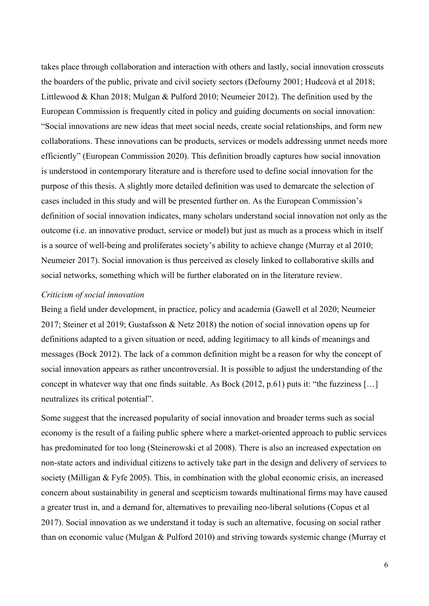takes place through collaboration and interaction with others and lastly, social innovation crosscuts the boarders of the public, private and civil society sectors (Defourny 2001; Hudcovà et al 2018; Littlewood & Khan 2018; Mulgan & Pulford 2010; Neumeier 2012). The definition used by the European Commission is frequently cited in policy and guiding documents on social innovation: "Social innovations are new ideas that meet social needs, create social relationships, and form new collaborations. These innovations can be products, services or models addressing unmet needs more efficiently" (European Commission 2020). This definition broadly captures how social innovation is understood in contemporary literature and is therefore used to define social innovation for the purpose of this thesis. A slightly more detailed definition was used to demarcate the selection of cases included in this study and will be presented further on. As the European Commission's definition of social innovation indicates, many scholars understand social innovation not only as the outcome (i.e. an innovative product, service or model) but just as much as a process which in itself is a source of well-being and proliferates society's ability to achieve change (Murray et al 2010; Neumeier 2017). Social innovation is thus perceived as closely linked to collaborative skills and social networks, something which will be further elaborated on in the literature review.

### *Criticism of social innovation*

Being a field under development, in practice, policy and academia (Gawell et al 2020; Neumeier 2017; Steiner et al 2019; Gustafsson & Netz 2018) the notion of social innovation opens up for definitions adapted to a given situation or need, adding legitimacy to all kinds of meanings and messages (Bock 2012). The lack of a common definition might be a reason for why the concept of social innovation appears as rather uncontroversial. It is possible to adjust the understanding of the concept in whatever way that one finds suitable. As Bock (2012, p.61) puts it: "the fuzziness […] neutralizes its critical potential".

Some suggest that the increased popularity of social innovation and broader terms such as social economy is the result of a failing public sphere where a market-oriented approach to public services has predominated for too long (Steinerowski et al 2008). There is also an increased expectation on non-state actors and individual citizens to actively take part in the design and delivery of services to society (Milligan & Fyfe 2005). This, in combination with the global economic crisis, an increased concern about sustainability in general and scepticism towards multinational firms may have caused a greater trust in, and a demand for, alternatives to prevailing neo-liberal solutions (Copus et al 2017). Social innovation as we understand it today is such an alternative, focusing on social rather than on economic value (Mulgan & Pulford 2010) and striving towards systemic change (Murray et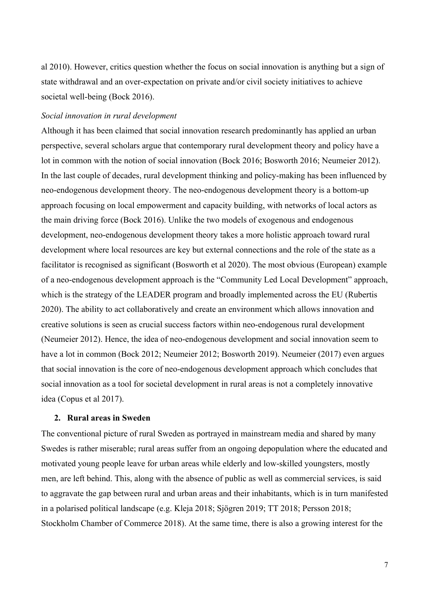al 2010). However, critics question whether the focus on social innovation is anything but a sign of state withdrawal and an over-expectation on private and/or civil society initiatives to achieve societal well-being (Bock 2016).

### *Social innovation in rural development*

Although it has been claimed that social innovation research predominantly has applied an urban perspective, several scholars argue that contemporary rural development theory and policy have a lot in common with the notion of social innovation (Bock 2016; Bosworth 2016; Neumeier 2012). In the last couple of decades, rural development thinking and policy-making has been influenced by neo-endogenous development theory. The neo-endogenous development theory is a bottom-up approach focusing on local empowerment and capacity building, with networks of local actors as the main driving force (Bock 2016). Unlike the two models of exogenous and endogenous development, neo-endogenous development theory takes a more holistic approach toward rural development where local resources are key but external connections and the role of the state as a facilitator is recognised as significant (Bosworth et al 2020). The most obvious (European) example of a neo-endogenous development approach is the "Community Led Local Development" approach, which is the strategy of the LEADER program and broadly implemented across the EU (Rubertis 2020). The ability to act collaboratively and create an environment which allows innovation and creative solutions is seen as crucial success factors within neo-endogenous rural development (Neumeier 2012). Hence, the idea of neo-endogenous development and social innovation seem to have a lot in common (Bock 2012; Neumeier 2012; Bosworth 2019). Neumeier (2017) even argues that social innovation is the core of neo-endogenous development approach which concludes that social innovation as a tool for societal development in rural areas is not a completely innovative idea (Copus et al 2017).

### **2. Rural areas in Sweden**

The conventional picture of rural Sweden as portrayed in mainstream media and shared by many Swedes is rather miserable; rural areas suffer from an ongoing depopulation where the educated and motivated young people leave for urban areas while elderly and low-skilled youngsters, mostly men, are left behind. This, along with the absence of public as well as commercial services, is said to aggravate the gap between rural and urban areas and their inhabitants, which is in turn manifested in a polarised political landscape (e.g. Kleja 2018; Sjögren 2019; TT 2018; Persson 2018; Stockholm Chamber of Commerce 2018). At the same time, there is also a growing interest for the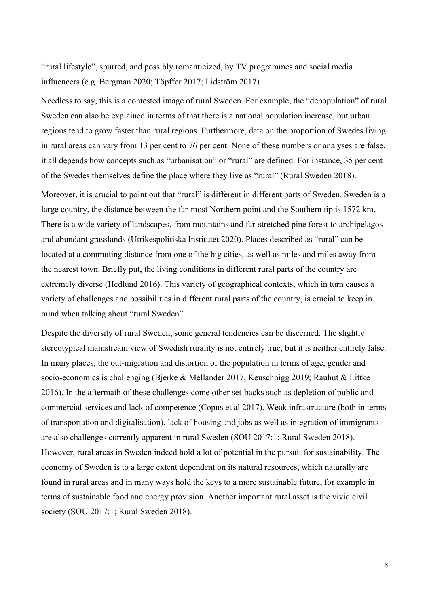"rural lifestyle", spurred, and possibly romanticized, by TV programmes and social media influencers (e.g. Bergman 2020; Töpffer 2017; Lidström 2017)

Needless to say, this is a contested image of rural Sweden. For example, the "depopulation" of rural Sweden can also be explained in terms of that there is a national population increase, but urban regions tend to grow faster than rural regions. Furthermore, data on the proportion of Swedes living in rural areas can vary from 13 per cent to 76 per cent. None of these numbers or analyses are false, it all depends how concepts such as "urbanisation" or "rural" are defined. For instance, 35 per cent of the Swedes themselves define the place where they live as "rural" (Rural Sweden 2018).

Moreover, it is crucial to point out that "rural" is different in different parts of Sweden. Sweden is a large country, the distance between the far-most Northern point and the Southern tip is 1572 km. There is a wide variety of landscapes, from mountains and far-stretched pine forest to archipelagos and abundant grasslands (Utrikespolitiska Institutet 2020). Places described as "rural" can be located at a commuting distance from one of the big cities, as well as miles and miles away from the nearest town. Briefly put, the living conditions in different rural parts of the country are extremely diverse (Hedlund 2016). This variety of geographical contexts, which in turn causes a variety of challenges and possibilities in different rural parts of the country, is crucial to keep in mind when talking about "rural Sweden".

Despite the diversity of rural Sweden, some general tendencies can be discerned. The slightly stereotypical mainstream view of Swedish rurality is not entirely true, but it is neither entirely false. In many places, the out-migration and distortion of the population in terms of age, gender and socio-economics is challenging (Bjerke & Mellander 2017, Keuschnigg 2019; Rauhut & Littke 2016). In the aftermath of these challenges come other set-backs such as depletion of public and commercial services and lack of competence (Copus et al 2017). Weak infrastructure (both in terms of transportation and digitalisation), lack of housing and jobs as well as integration of immigrants are also challenges currently apparent in rural Sweden (SOU 2017:1; Rural Sweden 2018). However, rural areas in Sweden indeed hold a lot of potential in the pursuit for sustainability. The economy of Sweden is to a large extent dependent on its natural resources, which naturally are found in rural areas and in many ways hold the keys to a more sustainable future, for example in terms of sustainable food and energy provision. Another important rural asset is the vivid civil society (SOU 2017:1; Rural Sweden 2018).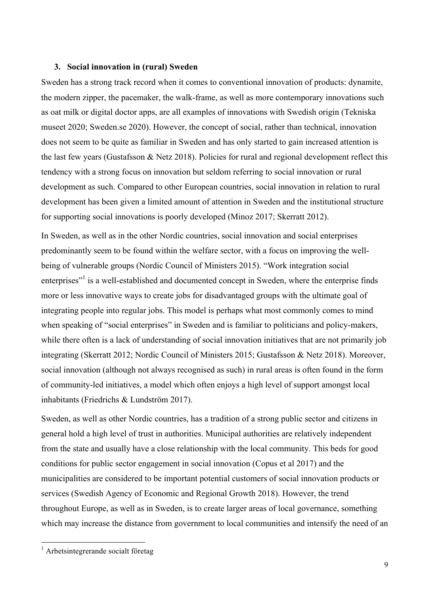### **3. Social innovation in (rural) Sweden**

Sweden has a strong track record when it comes to conventional innovation of products: dynamite, the modern zipper, the pacemaker, the walk-frame, as well as more contemporary innovations such as oat milk or digital doctor apps, are all examples of innovations with Swedish origin (Tekniska museet 2020; Sweden.se 2020). However, the concept of social, rather than technical, innovation does not seem to be quite as familiar in Sweden and has only started to gain increased attention is the last few years (Gustafsson & Netz 2018). Policies for rural and regional development reflect this tendency with a strong focus on innovation but seldom referring to social innovation or rural development as such. Compared to other European countries, social innovation in relation to rural development has been given a limited amount of attention in Sweden and the institutional structure for supporting social innovations is poorly developed (Minoz 2017; Skerratt 2012).

In Sweden, as well as in the other Nordic countries, social innovation and social enterprises predominantly seem to be found within the welfare sector, with a focus on improving the wellbeing of vulnerable groups (Nordic Council of Ministers 2015). "Work integration social enterprises"<sup>1</sup> is a well-established and documented concept in Sweden, where the enterprise finds more or less innovative ways to create jobs for disadvantaged groups with the ultimate goal of integrating people into regular jobs. This model is perhaps what most commonly comes to mind when speaking of "social enterprises" in Sweden and is familiar to politicians and policy-makers, while there often is a lack of understanding of social innovation initiatives that are not primarily job integrating (Skerratt 2012; Nordic Council of Ministers 2015; Gustafsson & Netz 2018). Moreover, social innovation (although not always recognised as such) in rural areas is often found in the form of community-led initiatives, a model which often enjoys a high level of support amongst local inhabitants (Friedrichs & Lundström 2017).

Sweden, as well as other Nordic countries, has a tradition of a strong public sector and citizens in general hold a high level of trust in authorities. Municipal authorities are relatively independent from the state and usually have a close relationship with the local community. This beds for good conditions for public sector engagement in social innovation (Copus et al 2017) and the municipalities are considered to be important potential customers of social innovation products or services (Swedish Agency of Economic and Regional Growth 2018). However, the trend throughout Europe, as well as in Sweden, is to create larger areas of local governance, something which may increase the distance from government to local communities and intensify the need of an

 <sup>1</sup> Arbetsintegrerande socialt företag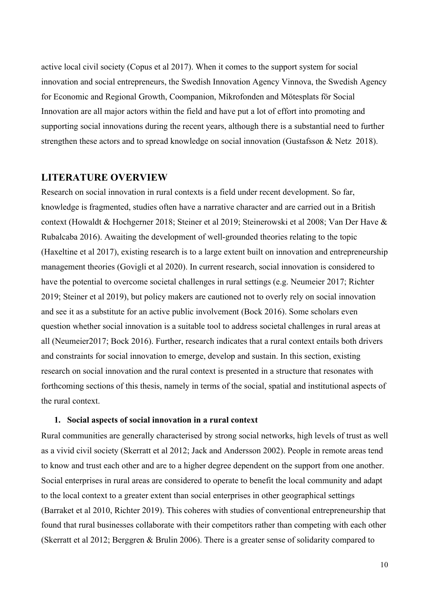active local civil society (Copus et al 2017). When it comes to the support system for social innovation and social entrepreneurs, the Swedish Innovation Agency Vinnova, the Swedish Agency for Economic and Regional Growth, Coompanion, Mikrofonden and Mötesplats för Social Innovation are all major actors within the field and have put a lot of effort into promoting and supporting social innovations during the recent years, although there is a substantial need to further strengthen these actors and to spread knowledge on social innovation (Gustafsson & Netz 2018).

# **LITERATURE OVERVIEW**

Research on social innovation in rural contexts is a field under recent development. So far, knowledge is fragmented, studies often have a narrative character and are carried out in a British context (Howaldt & Hochgerner 2018; Steiner et al 2019; Steinerowski et al 2008; Van Der Have & Rubalcaba 2016). Awaiting the development of well-grounded theories relating to the topic (Haxeltine et al 2017), existing research is to a large extent built on innovation and entrepreneurship management theories (Govigli et al 2020). In current research, social innovation is considered to have the potential to overcome societal challenges in rural settings (e.g. Neumeier 2017; Richter 2019; Steiner et al 2019), but policy makers are cautioned not to overly rely on social innovation and see it as a substitute for an active public involvement (Bock 2016). Some scholars even question whether social innovation is a suitable tool to address societal challenges in rural areas at all (Neumeier2017; Bock 2016). Further, research indicates that a rural context entails both drivers and constraints for social innovation to emerge, develop and sustain. In this section, existing research on social innovation and the rural context is presented in a structure that resonates with forthcoming sections of this thesis, namely in terms of the social, spatial and institutional aspects of the rural context.

### **1. Social aspects of social innovation in a rural context**

Rural communities are generally characterised by strong social networks, high levels of trust as well as a vivid civil society (Skerratt et al 2012; Jack and Andersson 2002). People in remote areas tend to know and trust each other and are to a higher degree dependent on the support from one another. Social enterprises in rural areas are considered to operate to benefit the local community and adapt to the local context to a greater extent than social enterprises in other geographical settings (Barraket et al 2010, Richter 2019). This coheres with studies of conventional entrepreneurship that found that rural businesses collaborate with their competitors rather than competing with each other (Skerratt et al 2012; Berggren & Brulin 2006). There is a greater sense of solidarity compared to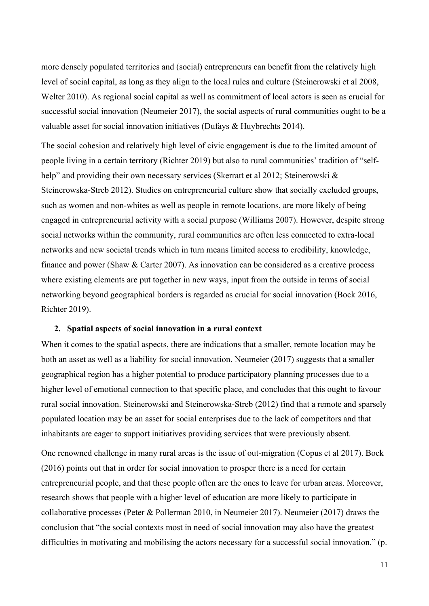more densely populated territories and (social) entrepreneurs can benefit from the relatively high level of social capital, as long as they align to the local rules and culture (Steinerowski et al 2008, Welter 2010). As regional social capital as well as commitment of local actors is seen as crucial for successful social innovation (Neumeier 2017), the social aspects of rural communities ought to be a valuable asset for social innovation initiatives (Dufays & Huybrechts 2014).

The social cohesion and relatively high level of civic engagement is due to the limited amount of people living in a certain territory (Richter 2019) but also to rural communities' tradition of "selfhelp" and providing their own necessary services (Skerratt et al 2012; Steinerowski & Steinerowska-Streb 2012). Studies on entrepreneurial culture show that socially excluded groups, such as women and non-whites as well as people in remote locations, are more likely of being engaged in entrepreneurial activity with a social purpose (Williams 2007). However, despite strong social networks within the community, rural communities are often less connected to extra-local networks and new societal trends which in turn means limited access to credibility, knowledge, finance and power (Shaw & Carter 2007). As innovation can be considered as a creative process where existing elements are put together in new ways, input from the outside in terms of social networking beyond geographical borders is regarded as crucial for social innovation (Bock 2016, Richter 2019).

### **2. Spatial aspects of social innovation in a rural context**

When it comes to the spatial aspects, there are indications that a smaller, remote location may be both an asset as well as a liability for social innovation. Neumeier (2017) suggests that a smaller geographical region has a higher potential to produce participatory planning processes due to a higher level of emotional connection to that specific place, and concludes that this ought to favour rural social innovation. Steinerowski and Steinerowska-Streb (2012) find that a remote and sparsely populated location may be an asset for social enterprises due to the lack of competitors and that inhabitants are eager to support initiatives providing services that were previously absent.

One renowned challenge in many rural areas is the issue of out-migration (Copus et al 2017). Bock (2016) points out that in order for social innovation to prosper there is a need for certain entrepreneurial people, and that these people often are the ones to leave for urban areas. Moreover, research shows that people with a higher level of education are more likely to participate in collaborative processes (Peter & Pollerman 2010, in Neumeier 2017). Neumeier (2017) draws the conclusion that "the social contexts most in need of social innovation may also have the greatest difficulties in motivating and mobilising the actors necessary for a successful social innovation." (p.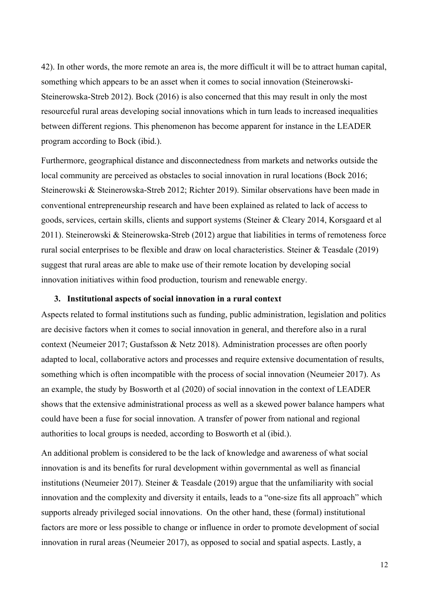42). In other words, the more remote an area is, the more difficult it will be to attract human capital, something which appears to be an asset when it comes to social innovation (Steinerowski-Steinerowska-Streb 2012). Bock (2016) is also concerned that this may result in only the most resourceful rural areas developing social innovations which in turn leads to increased inequalities between different regions. This phenomenon has become apparent for instance in the LEADER program according to Bock (ibid.).

Furthermore, geographical distance and disconnectedness from markets and networks outside the local community are perceived as obstacles to social innovation in rural locations (Bock 2016; Steinerowski & Steinerowska-Streb 2012; Richter 2019). Similar observations have been made in conventional entrepreneurship research and have been explained as related to lack of access to goods, services, certain skills, clients and support systems (Steiner & Cleary 2014, Korsgaard et al 2011). Steinerowski & Steinerowska-Streb (2012) argue that liabilities in terms of remoteness force rural social enterprises to be flexible and draw on local characteristics. Steiner & Teasdale (2019) suggest that rural areas are able to make use of their remote location by developing social innovation initiatives within food production, tourism and renewable energy.

### **3. Institutional aspects of social innovation in a rural context**

Aspects related to formal institutions such as funding, public administration, legislation and politics are decisive factors when it comes to social innovation in general, and therefore also in a rural context (Neumeier 2017; Gustafsson & Netz 2018). Administration processes are often poorly adapted to local, collaborative actors and processes and require extensive documentation of results, something which is often incompatible with the process of social innovation (Neumeier 2017). As an example, the study by Bosworth et al (2020) of social innovation in the context of LEADER shows that the extensive administrational process as well as a skewed power balance hampers what could have been a fuse for social innovation. A transfer of power from national and regional authorities to local groups is needed, according to Bosworth et al (ibid.).

An additional problem is considered to be the lack of knowledge and awareness of what social innovation is and its benefits for rural development within governmental as well as financial institutions (Neumeier 2017). Steiner  $\&$  Teasdale (2019) argue that the unfamiliarity with social innovation and the complexity and diversity it entails, leads to a "one-size fits all approach" which supports already privileged social innovations. On the other hand, these (formal) institutional factors are more or less possible to change or influence in order to promote development of social innovation in rural areas (Neumeier 2017), as opposed to social and spatial aspects. Lastly, a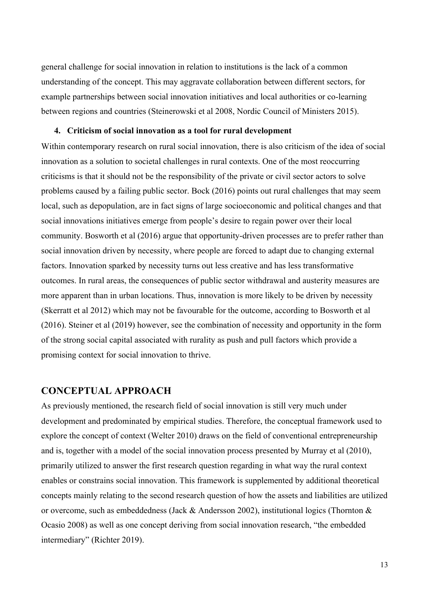general challenge for social innovation in relation to institutions is the lack of a common understanding of the concept. This may aggravate collaboration between different sectors, for example partnerships between social innovation initiatives and local authorities or co-learning between regions and countries (Steinerowski et al 2008, Nordic Council of Ministers 2015).

### **4. Criticism of social innovation as a tool for rural development**

Within contemporary research on rural social innovation, there is also criticism of the idea of social innovation as a solution to societal challenges in rural contexts. One of the most reoccurring criticisms is that it should not be the responsibility of the private or civil sector actors to solve problems caused by a failing public sector. Bock (2016) points out rural challenges that may seem local, such as depopulation, are in fact signs of large socioeconomic and political changes and that social innovations initiatives emerge from people's desire to regain power over their local community. Bosworth et al (2016) argue that opportunity-driven processes are to prefer rather than social innovation driven by necessity, where people are forced to adapt due to changing external factors. Innovation sparked by necessity turns out less creative and has less transformative outcomes. In rural areas, the consequences of public sector withdrawal and austerity measures are more apparent than in urban locations. Thus, innovation is more likely to be driven by necessity (Skerratt et al 2012) which may not be favourable for the outcome, according to Bosworth et al (2016). Steiner et al (2019) however, see the combination of necessity and opportunity in the form of the strong social capital associated with rurality as push and pull factors which provide a promising context for social innovation to thrive.

# **CONCEPTUAL APPROACH**

As previously mentioned, the research field of social innovation is still very much under development and predominated by empirical studies. Therefore, the conceptual framework used to explore the concept of context (Welter 2010) draws on the field of conventional entrepreneurship and is, together with a model of the social innovation process presented by Murray et al (2010), primarily utilized to answer the first research question regarding in what way the rural context enables or constrains social innovation. This framework is supplemented by additional theoretical concepts mainly relating to the second research question of how the assets and liabilities are utilized or overcome, such as embeddedness (Jack & Andersson 2002), institutional logics (Thornton  $\&$ Ocasio 2008) as well as one concept deriving from social innovation research, "the embedded intermediary" (Richter 2019).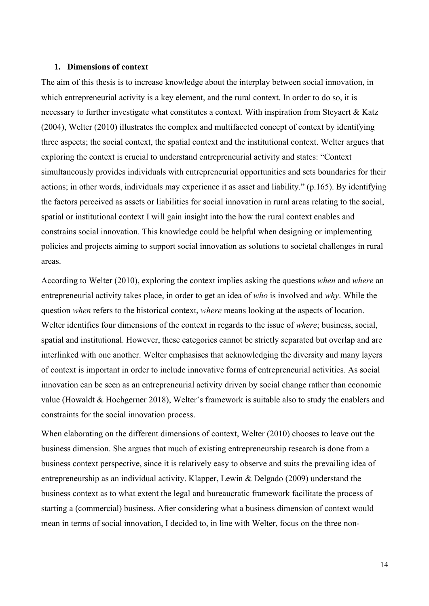### **1. Dimensions of context**

The aim of this thesis is to increase knowledge about the interplay between social innovation, in which entrepreneurial activity is a key element, and the rural context. In order to do so, it is necessary to further investigate what constitutes a context. With inspiration from Steyaert & Katz (2004), Welter (2010) illustrates the complex and multifaceted concept of context by identifying three aspects; the social context, the spatial context and the institutional context. Welter argues that exploring the context is crucial to understand entrepreneurial activity and states: "Context simultaneously provides individuals with entrepreneurial opportunities and sets boundaries for their actions; in other words, individuals may experience it as asset and liability." (p.165). By identifying the factors perceived as assets or liabilities for social innovation in rural areas relating to the social, spatial or institutional context I will gain insight into the how the rural context enables and constrains social innovation. This knowledge could be helpful when designing or implementing policies and projects aiming to support social innovation as solutions to societal challenges in rural areas.

According to Welter (2010), exploring the context implies asking the questions *when* and *where* an entrepreneurial activity takes place, in order to get an idea of *who* is involved and *why*. While the question *when* refers to the historical context, *where* means looking at the aspects of location. Welter identifies four dimensions of the context in regards to the issue of *where*; business, social, spatial and institutional. However, these categories cannot be strictly separated but overlap and are interlinked with one another. Welter emphasises that acknowledging the diversity and many layers of context is important in order to include innovative forms of entrepreneurial activities. As social innovation can be seen as an entrepreneurial activity driven by social change rather than economic value (Howaldt & Hochgerner 2018), Welter's framework is suitable also to study the enablers and constraints for the social innovation process.

When elaborating on the different dimensions of context, Welter (2010) chooses to leave out the business dimension. She argues that much of existing entrepreneurship research is done from a business context perspective, since it is relatively easy to observe and suits the prevailing idea of entrepreneurship as an individual activity. Klapper, Lewin & Delgado (2009) understand the business context as to what extent the legal and bureaucratic framework facilitate the process of starting a (commercial) business. After considering what a business dimension of context would mean in terms of social innovation, I decided to, in line with Welter, focus on the three non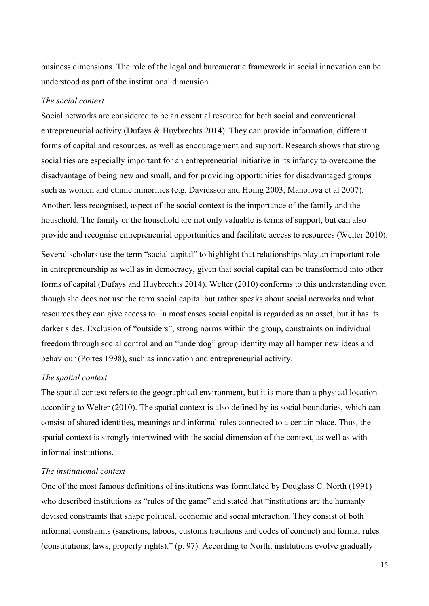business dimensions. The role of the legal and bureaucratic framework in social innovation can be understood as part of the institutional dimension.

### *The social context*

Social networks are considered to be an essential resource for both social and conventional entrepreneurial activity (Dufays & Huybrechts 2014). They can provide information, different forms of capital and resources, as well as encouragement and support. Research shows that strong social ties are especially important for an entrepreneurial initiative in its infancy to overcome the disadvantage of being new and small, and for providing opportunities for disadvantaged groups such as women and ethnic minorities (e.g. Davidsson and Honig 2003, Manolova et al 2007). Another, less recognised, aspect of the social context is the importance of the family and the household. The family or the household are not only valuable is terms of support, but can also provide and recognise entrepreneurial opportunities and facilitate access to resources (Welter 2010).

Several scholars use the term "social capital" to highlight that relationships play an important role in entrepreneurship as well as in democracy, given that social capital can be transformed into other forms of capital (Dufays and Huybrechts 2014). Welter (2010) conforms to this understanding even though she does not use the term social capital but rather speaks about social networks and what resources they can give access to. In most cases social capital is regarded as an asset, but it has its darker sides. Exclusion of "outsiders", strong norms within the group, constraints on individual freedom through social control and an "underdog" group identity may all hamper new ideas and behaviour (Portes 1998), such as innovation and entrepreneurial activity.

### *The spatial context*

The spatial context refers to the geographical environment, but it is more than a physical location according to Welter (2010). The spatial context is also defined by its social boundaries, which can consist of shared identities, meanings and informal rules connected to a certain place. Thus, the spatial context is strongly intertwined with the social dimension of the context, as well as with informal institutions.

## *The institutional context*

One of the most famous definitions of institutions was formulated by Douglass C. North (1991) who described institutions as "rules of the game" and stated that "institutions are the humanly devised constraints that shape political, economic and social interaction. They consist of both informal constraints (sanctions, taboos, customs traditions and codes of conduct) and formal rules (constitutions, laws, property rights)." (p. 97). According to North, institutions evolve gradually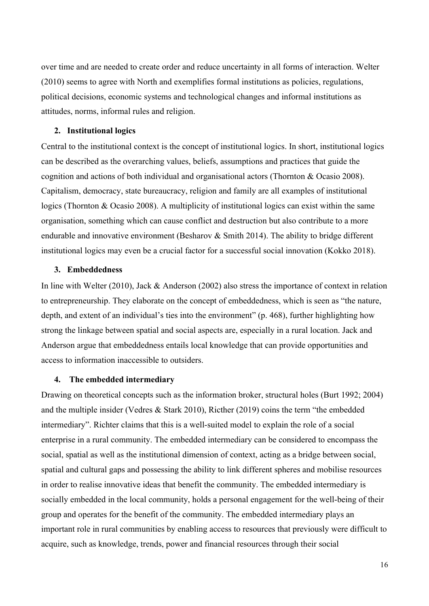over time and are needed to create order and reduce uncertainty in all forms of interaction. Welter (2010) seems to agree with North and exemplifies formal institutions as policies, regulations, political decisions, economic systems and technological changes and informal institutions as attitudes, norms, informal rules and religion.

### **2. Institutional logics**

Central to the institutional context is the concept of institutional logics. In short, institutional logics can be described as the overarching values, beliefs, assumptions and practices that guide the cognition and actions of both individual and organisational actors (Thornton & Ocasio 2008). Capitalism, democracy, state bureaucracy, religion and family are all examples of institutional logics (Thornton & Ocasio 2008). A multiplicity of institutional logics can exist within the same organisation, something which can cause conflict and destruction but also contribute to a more endurable and innovative environment (Besharov  $\&$  Smith 2014). The ability to bridge different institutional logics may even be a crucial factor for a successful social innovation (Kokko 2018).

### **3. Embeddedness**

In line with Welter (2010), Jack & Anderson (2002) also stress the importance of context in relation to entrepreneurship. They elaborate on the concept of embeddedness, which is seen as "the nature, depth, and extent of an individual's ties into the environment" (p. 468), further highlighting how strong the linkage between spatial and social aspects are, especially in a rural location. Jack and Anderson argue that embeddedness entails local knowledge that can provide opportunities and access to information inaccessible to outsiders.

### **4. The embedded intermediary**

Drawing on theoretical concepts such as the information broker, structural holes (Burt 1992; 2004) and the multiple insider (Vedres & Stark 2010), Ricther (2019) coins the term "the embedded intermediary". Richter claims that this is a well-suited model to explain the role of a social enterprise in a rural community. The embedded intermediary can be considered to encompass the social, spatial as well as the institutional dimension of context, acting as a bridge between social, spatial and cultural gaps and possessing the ability to link different spheres and mobilise resources in order to realise innovative ideas that benefit the community. The embedded intermediary is socially embedded in the local community, holds a personal engagement for the well-being of their group and operates for the benefit of the community. The embedded intermediary plays an important role in rural communities by enabling access to resources that previously were difficult to acquire, such as knowledge, trends, power and financial resources through their social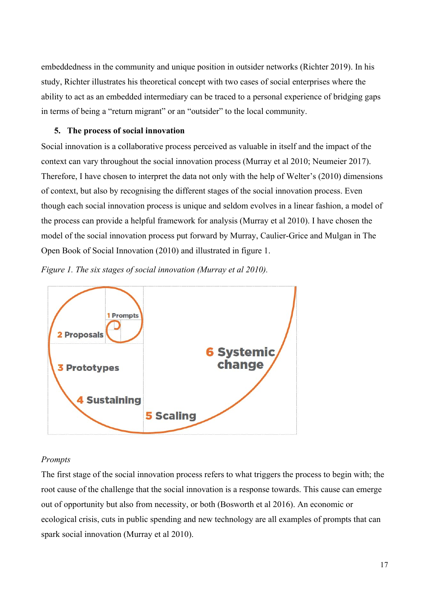embeddedness in the community and unique position in outsider networks (Richter 2019). In his study, Richter illustrates his theoretical concept with two cases of social enterprises where the ability to act as an embedded intermediary can be traced to a personal experience of bridging gaps in terms of being a "return migrant" or an "outsider" to the local community.

# **5. The process of social innovation**

Social innovation is a collaborative process perceived as valuable in itself and the impact of the context can vary throughout the social innovation process (Murray et al 2010; Neumeier 2017). Therefore, I have chosen to interpret the data not only with the help of Welter's (2010) dimensions of context, but also by recognising the different stages of the social innovation process. Even though each social innovation process is unique and seldom evolves in a linear fashion, a model of the process can provide a helpful framework for analysis (Murray et al 2010). I have chosen the model of the social innovation process put forward by Murray, Caulier-Grice and Mulgan in The Open Book of Social Innovation (2010) and illustrated in figure 1.





# *Prompts*

The first stage of the social innovation process refers to what triggers the process to begin with; the root cause of the challenge that the social innovation is a response towards. This cause can emerge out of opportunity but also from necessity, or both (Bosworth et al 2016). An economic or ecological crisis, cuts in public spending and new technology are all examples of prompts that can spark social innovation (Murray et al 2010).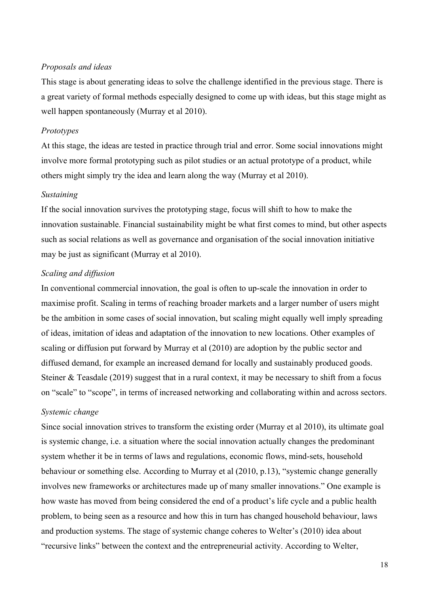### *Proposals and ideas*

This stage is about generating ideas to solve the challenge identified in the previous stage. There is a great variety of formal methods especially designed to come up with ideas, but this stage might as well happen spontaneously (Murray et al 2010).

### *Prototypes*

At this stage, the ideas are tested in practice through trial and error. Some social innovations might involve more formal prototyping such as pilot studies or an actual prototype of a product, while others might simply try the idea and learn along the way (Murray et al 2010).

#### *Sustaining*

If the social innovation survives the prototyping stage, focus will shift to how to make the innovation sustainable. Financial sustainability might be what first comes to mind, but other aspects such as social relations as well as governance and organisation of the social innovation initiative may be just as significant (Murray et al 2010).

### *Scaling and diffusion*

In conventional commercial innovation, the goal is often to up-scale the innovation in order to maximise profit. Scaling in terms of reaching broader markets and a larger number of users might be the ambition in some cases of social innovation, but scaling might equally well imply spreading of ideas, imitation of ideas and adaptation of the innovation to new locations. Other examples of scaling or diffusion put forward by Murray et al (2010) are adoption by the public sector and diffused demand, for example an increased demand for locally and sustainably produced goods. Steiner & Teasdale (2019) suggest that in a rural context, it may be necessary to shift from a focus on "scale" to "scope", in terms of increased networking and collaborating within and across sectors.

#### *Systemic change*

Since social innovation strives to transform the existing order (Murray et al 2010), its ultimate goal is systemic change, i.e. a situation where the social innovation actually changes the predominant system whether it be in terms of laws and regulations, economic flows, mind-sets, household behaviour or something else. According to Murray et al (2010, p.13), "systemic change generally involves new frameworks or architectures made up of many smaller innovations." One example is how waste has moved from being considered the end of a product's life cycle and a public health problem, to being seen as a resource and how this in turn has changed household behaviour, laws and production systems. The stage of systemic change coheres to Welter's (2010) idea about "recursive links" between the context and the entrepreneurial activity. According to Welter,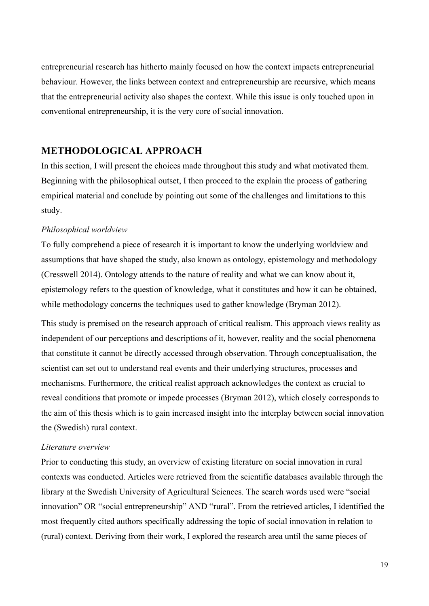entrepreneurial research has hitherto mainly focused on how the context impacts entrepreneurial behaviour. However, the links between context and entrepreneurship are recursive, which means that the entrepreneurial activity also shapes the context. While this issue is only touched upon in conventional entrepreneurship, it is the very core of social innovation.

# **METHODOLOGICAL APPROACH**

In this section, I will present the choices made throughout this study and what motivated them. Beginning with the philosophical outset, I then proceed to the explain the process of gathering empirical material and conclude by pointing out some of the challenges and limitations to this study.

# *Philosophical worldview*

To fully comprehend a piece of research it is important to know the underlying worldview and assumptions that have shaped the study, also known as ontology, epistemology and methodology (Cresswell 2014). Ontology attends to the nature of reality and what we can know about it, epistemology refers to the question of knowledge, what it constitutes and how it can be obtained, while methodology concerns the techniques used to gather knowledge (Bryman 2012).

This study is premised on the research approach of critical realism. This approach views reality as independent of our perceptions and descriptions of it, however, reality and the social phenomena that constitute it cannot be directly accessed through observation. Through conceptualisation, the scientist can set out to understand real events and their underlying structures, processes and mechanisms. Furthermore, the critical realist approach acknowledges the context as crucial to reveal conditions that promote or impede processes (Bryman 2012), which closely corresponds to the aim of this thesis which is to gain increased insight into the interplay between social innovation the (Swedish) rural context.

### *Literature overview*

Prior to conducting this study, an overview of existing literature on social innovation in rural contexts was conducted. Articles were retrieved from the scientific databases available through the library at the Swedish University of Agricultural Sciences. The search words used were "social innovation" OR "social entrepreneurship" AND "rural". From the retrieved articles, I identified the most frequently cited authors specifically addressing the topic of social innovation in relation to (rural) context. Deriving from their work, I explored the research area until the same pieces of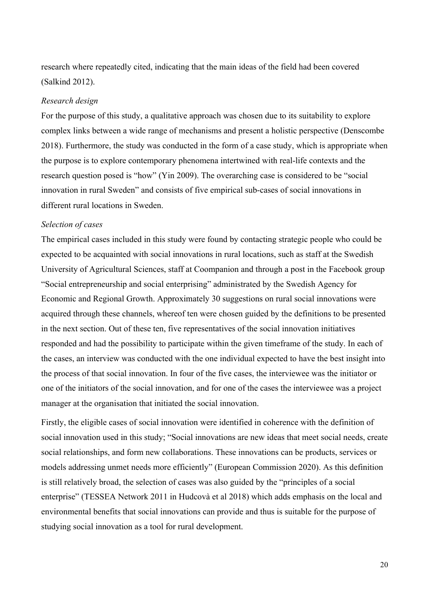research where repeatedly cited, indicating that the main ideas of the field had been covered (Salkind 2012).

### *Research design*

For the purpose of this study, a qualitative approach was chosen due to its suitability to explore complex links between a wide range of mechanisms and present a holistic perspective (Denscombe 2018). Furthermore, the study was conducted in the form of a case study, which is appropriate when the purpose is to explore contemporary phenomena intertwined with real-life contexts and the research question posed is "how" (Yin 2009). The overarching case is considered to be "social innovation in rural Sweden" and consists of five empirical sub-cases of social innovations in different rural locations in Sweden.

# *Selection of cases*

The empirical cases included in this study were found by contacting strategic people who could be expected to be acquainted with social innovations in rural locations, such as staff at the Swedish University of Agricultural Sciences, staff at Coompanion and through a post in the Facebook group "Social entrepreneurship and social enterprising" administrated by the Swedish Agency for Economic and Regional Growth. Approximately 30 suggestions on rural social innovations were acquired through these channels, whereof ten were chosen guided by the definitions to be presented in the next section. Out of these ten, five representatives of the social innovation initiatives responded and had the possibility to participate within the given timeframe of the study. In each of the cases, an interview was conducted with the one individual expected to have the best insight into the process of that social innovation. In four of the five cases, the interviewee was the initiator or one of the initiators of the social innovation, and for one of the cases the interviewee was a project manager at the organisation that initiated the social innovation.

Firstly, the eligible cases of social innovation were identified in coherence with the definition of social innovation used in this study; "Social innovations are new ideas that meet social needs, create social relationships, and form new collaborations. These innovations can be products, services or models addressing unmet needs more efficiently" (European Commission 2020). As this definition is still relatively broad, the selection of cases was also guided by the "principles of a social enterprise" (TESSEA Network 2011 in Hudcovà et al 2018) which adds emphasis on the local and environmental benefits that social innovations can provide and thus is suitable for the purpose of studying social innovation as a tool for rural development.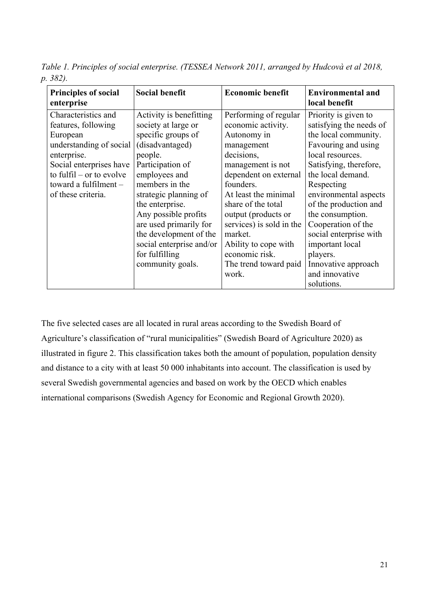*Table 1. Principles of social enterprise. (TESSEA Network 2011, arranged by Hudcovà et al 2018, p. 382).*

| <b>Principles of social</b><br>enterprise | <b>Social benefit</b>    | <b>Economic benefit</b>  | <b>Environmental and</b><br>local benefit |
|-------------------------------------------|--------------------------|--------------------------|-------------------------------------------|
| Characteristics and                       | Activity is benefitting  | Performing of regular    | Priority is given to                      |
| features, following                       | society at large or      | economic activity.       | satisfying the needs of                   |
| European                                  | specific groups of       | Autonomy in              | the local community.                      |
| understanding of social                   | (disadvantaged)          | management               | Favouring and using                       |
| enterprise.                               | people.                  | decisions,               | local resources.                          |
| Social enterprises have                   | Participation of         | management is not        | Satisfying, therefore,                    |
| to fulfil $-$ or to evolve                | employees and            | dependent on external    | the local demand.                         |
| toward a fulfilment $-$                   | members in the           | founders.                | Respecting                                |
| of these criteria.                        | strategic planning of    | At least the minimal     | environmental aspects                     |
|                                           | the enterprise.          | share of the total       | of the production and                     |
|                                           | Any possible profits     | output (products or      | the consumption.                          |
|                                           | are used primarily for   | services) is sold in the | Cooperation of the                        |
|                                           | the development of the   | market.                  | social enterprise with                    |
|                                           | social enterprise and/or | Ability to cope with     | important local                           |
|                                           | for fulfilling           | economic risk.           | players.                                  |
|                                           | community goals.         | The trend toward paid    | Innovative approach                       |
|                                           |                          | work.                    | and innovative                            |
|                                           |                          |                          | solutions.                                |

The five selected cases are all located in rural areas according to the Swedish Board of Agriculture's classification of "rural municipalities" (Swedish Board of Agriculture 2020) as illustrated in figure 2. This classification takes both the amount of population, population density and distance to a city with at least 50 000 inhabitants into account. The classification is used by several Swedish governmental agencies and based on work by the OECD which enables international comparisons (Swedish Agency for Economic and Regional Growth 2020).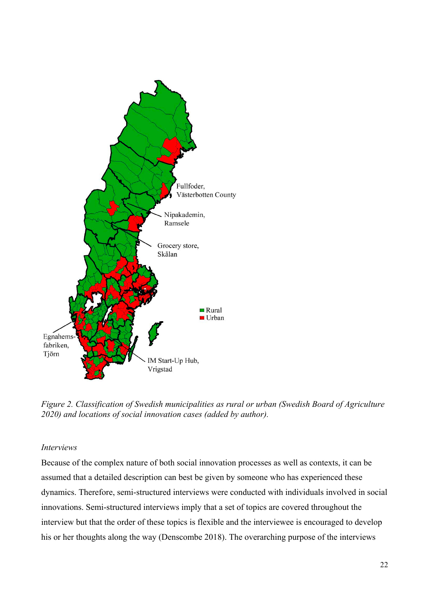

*Figure 2. Classification of Swedish municipalities as rural or urban (Swedish Board of Agriculture 2020) and locations of social innovation cases (added by author).*

### *Interviews*

Because of the complex nature of both social innovation processes as well as contexts, it can be assumed that a detailed description can best be given by someone who has experienced these dynamics. Therefore, semi-structured interviews were conducted with individuals involved in social innovations. Semi-structured interviews imply that a set of topics are covered throughout the interview but that the order of these topics is flexible and the interviewee is encouraged to develop his or her thoughts along the way (Denscombe 2018). The overarching purpose of the interviews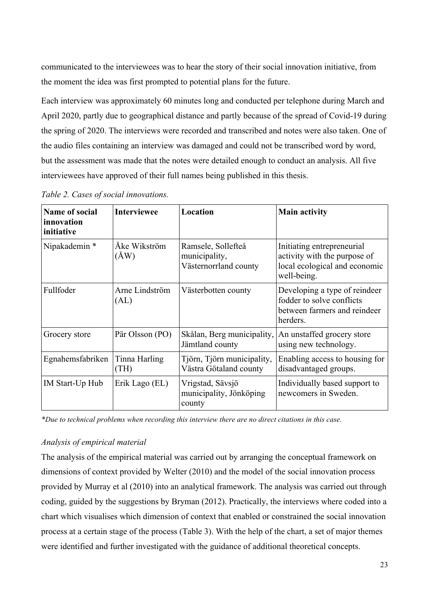communicated to the interviewees was to hear the story of their social innovation initiative, from the moment the idea was first prompted to potential plans for the future.

Each interview was approximately 60 minutes long and conducted per telephone during March and April 2020, partly due to geographical distance and partly because of the spread of Covid-19 during the spring of 2020. The interviews were recorded and transcribed and notes were also taken. One of the audio files containing an interview was damaged and could not be transcribed word by word, but the assessment was made that the notes were detailed enough to conduct an analysis. All five interviewees have approved of their full names being published in this thesis.

| Name of social<br>innovation<br>initiative | <b>Interviewee</b>            | Location                                                     | <b>Main activity</b>                                                                                       |
|--------------------------------------------|-------------------------------|--------------------------------------------------------------|------------------------------------------------------------------------------------------------------------|
| Nipakademin *                              | Åke Wikström<br>$(\text{ÅW})$ | Ramsele, Sollefteå<br>municipality,<br>Västernorrland county | Initiating entrepreneurial<br>activity with the purpose of<br>local ecological and economic<br>well-being. |
| Fullfoder                                  | Arne Lindström<br>(AL)        | Västerbotten county                                          | Developing a type of reindeer<br>fodder to solve conflicts<br>between farmers and reindeer<br>herders.     |
| Grocery store                              | Pär Olsson (PO)               | Skålan, Berg municipality,<br>Jämtland county                | An unstaffed grocery store<br>using new technology.                                                        |
| Egnahemsfabriken                           | Tinna Harling<br>(TH)         | Tjörn, Tjörn municipality,<br>Västra Götaland county         | Enabling access to housing for<br>disadvantaged groups.                                                    |
| IM Start-Up Hub                            | Erik Lago (EL)                | Vrigstad, Sävsjö<br>municipality, Jönköping<br>county        | Individually based support to<br>newcomers in Sweden.                                                      |

*\*Due to technical problems when recording this interview there are no direct citations in this case.* 

### *Analysis of empirical material*

The analysis of the empirical material was carried out by arranging the conceptual framework on dimensions of context provided by Welter (2010) and the model of the social innovation process provided by Murray et al (2010) into an analytical framework. The analysis was carried out through coding, guided by the suggestions by Bryman (2012). Practically, the interviews where coded into a chart which visualises which dimension of context that enabled or constrained the social innovation process at a certain stage of the process (Table 3). With the help of the chart, a set of major themes were identified and further investigated with the guidance of additional theoretical concepts.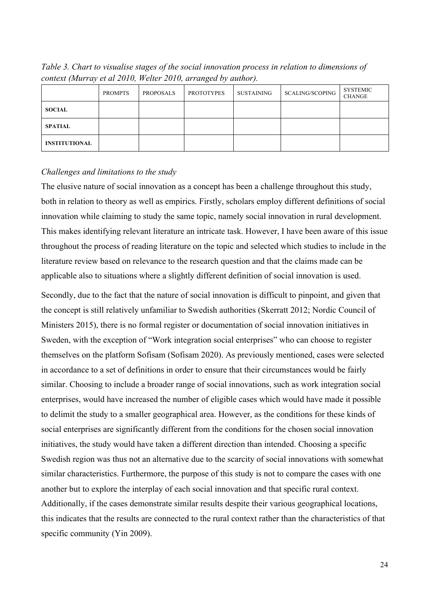PROMPTS PROPOSALS PROTOTYPES SUSTAINING SCALING/SCOPING SYSTEMIC **CHANGE SOCIAL SPATIAL INSTITUTIONAL**

*Table 3. Chart to visualise stages of the social innovation process in relation to dimensions of context (Murray et al 2010, Welter 2010, arranged by author).*

### *Challenges and limitations to the study*

The elusive nature of social innovation as a concept has been a challenge throughout this study, both in relation to theory as well as empirics. Firstly, scholars employ different definitions of social innovation while claiming to study the same topic, namely social innovation in rural development. This makes identifying relevant literature an intricate task. However, I have been aware of this issue throughout the process of reading literature on the topic and selected which studies to include in the literature review based on relevance to the research question and that the claims made can be applicable also to situations where a slightly different definition of social innovation is used.

Secondly, due to the fact that the nature of social innovation is difficult to pinpoint, and given that the concept is still relatively unfamiliar to Swedish authorities (Skerratt 2012; Nordic Council of Ministers 2015), there is no formal register or documentation of social innovation initiatives in Sweden, with the exception of "Work integration social enterprises" who can choose to register themselves on the platform Sofisam (Sofisam 2020). As previously mentioned, cases were selected in accordance to a set of definitions in order to ensure that their circumstances would be fairly similar. Choosing to include a broader range of social innovations, such as work integration social enterprises, would have increased the number of eligible cases which would have made it possible to delimit the study to a smaller geographical area. However, as the conditions for these kinds of social enterprises are significantly different from the conditions for the chosen social innovation initiatives, the study would have taken a different direction than intended. Choosing a specific Swedish region was thus not an alternative due to the scarcity of social innovations with somewhat similar characteristics. Furthermore, the purpose of this study is not to compare the cases with one another but to explore the interplay of each social innovation and that specific rural context. Additionally, if the cases demonstrate similar results despite their various geographical locations, this indicates that the results are connected to the rural context rather than the characteristics of that specific community (Yin 2009).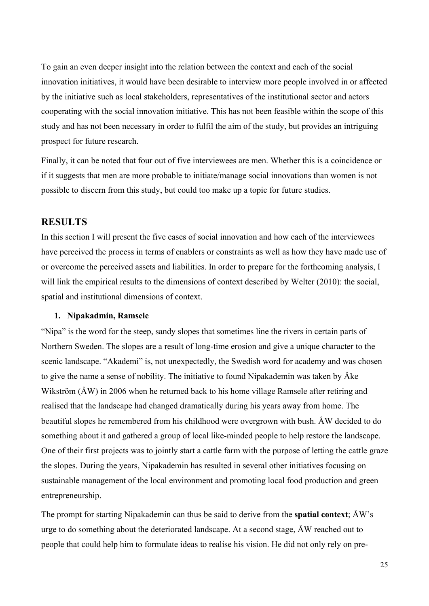To gain an even deeper insight into the relation between the context and each of the social innovation initiatives, it would have been desirable to interview more people involved in or affected by the initiative such as local stakeholders, representatives of the institutional sector and actors cooperating with the social innovation initiative. This has not been feasible within the scope of this study and has not been necessary in order to fulfil the aim of the study, but provides an intriguing prospect for future research.

Finally, it can be noted that four out of five interviewees are men. Whether this is a coincidence or if it suggests that men are more probable to initiate/manage social innovations than women is not possible to discern from this study, but could too make up a topic for future studies.

# **RESULTS**

In this section I will present the five cases of social innovation and how each of the interviewees have perceived the process in terms of enablers or constraints as well as how they have made use of or overcome the perceived assets and liabilities. In order to prepare for the forthcoming analysis, I will link the empirical results to the dimensions of context described by Welter (2010): the social, spatial and institutional dimensions of context.

### **1. Nipakadmin, Ramsele**

"Nipa" is the word for the steep, sandy slopes that sometimes line the rivers in certain parts of Northern Sweden. The slopes are a result of long-time erosion and give a unique character to the scenic landscape. "Akademi" is, not unexpectedly, the Swedish word for academy and was chosen to give the name a sense of nobility. The initiative to found Nipakademin was taken by Åke Wikström (ÅW) in 2006 when he returned back to his home village Ramsele after retiring and realised that the landscape had changed dramatically during his years away from home. The beautiful slopes he remembered from his childhood were overgrown with bush. ÅW decided to do something about it and gathered a group of local like-minded people to help restore the landscape. One of their first projects was to jointly start a cattle farm with the purpose of letting the cattle graze the slopes. During the years, Nipakademin has resulted in several other initiatives focusing on sustainable management of the local environment and promoting local food production and green entrepreneurship.

The prompt for starting Nipakademin can thus be said to derive from the **spatial context**; ÅW's urge to do something about the deteriorated landscape. At a second stage, ÅW reached out to people that could help him to formulate ideas to realise his vision. He did not only rely on pre-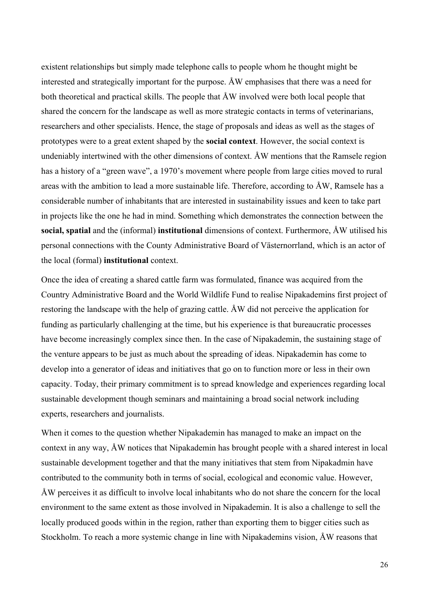existent relationships but simply made telephone calls to people whom he thought might be interested and strategically important for the purpose. ÅW emphasises that there was a need for both theoretical and practical skills. The people that ÅW involved were both local people that shared the concern for the landscape as well as more strategic contacts in terms of veterinarians, researchers and other specialists. Hence, the stage of proposals and ideas as well as the stages of prototypes were to a great extent shaped by the **social context**. However, the social context is undeniably intertwined with the other dimensions of context. ÅW mentions that the Ramsele region has a history of a "green wave", a 1970's movement where people from large cities moved to rural areas with the ambition to lead a more sustainable life. Therefore, according to ÅW, Ramsele has a considerable number of inhabitants that are interested in sustainability issues and keen to take part in projects like the one he had in mind. Something which demonstrates the connection between the **social, spatial** and the (informal) **institutional** dimensions of context. Furthermore, ÅW utilised his personal connections with the County Administrative Board of Västernorrland, which is an actor of the local (formal) **institutional** context.

Once the idea of creating a shared cattle farm was formulated, finance was acquired from the Country Administrative Board and the World Wildlife Fund to realise Nipakademins first project of restoring the landscape with the help of grazing cattle. ÅW did not perceive the application for funding as particularly challenging at the time, but his experience is that bureaucratic processes have become increasingly complex since then. In the case of Nipakademin, the sustaining stage of the venture appears to be just as much about the spreading of ideas. Nipakademin has come to develop into a generator of ideas and initiatives that go on to function more or less in their own capacity. Today, their primary commitment is to spread knowledge and experiences regarding local sustainable development though seminars and maintaining a broad social network including experts, researchers and journalists.

When it comes to the question whether Nipakademin has managed to make an impact on the context in any way, ÅW notices that Nipakademin has brought people with a shared interest in local sustainable development together and that the many initiatives that stem from Nipakadmin have contributed to the community both in terms of social, ecological and economic value. However, ÅW perceives it as difficult to involve local inhabitants who do not share the concern for the local environment to the same extent as those involved in Nipakademin. It is also a challenge to sell the locally produced goods within in the region, rather than exporting them to bigger cities such as Stockholm. To reach a more systemic change in line with Nipakademins vision, ÅW reasons that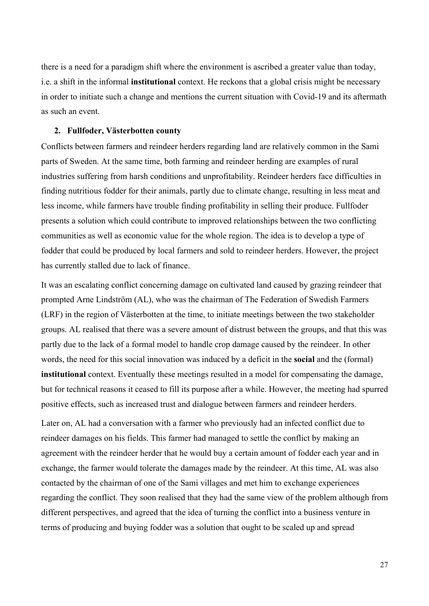there is a need for a paradigm shift where the environment is ascribed a greater value than today, i.e. a shift in the informal **institutional** context. He reckons that a global crisis might be necessary in order to initiate such a change and mentions the current situation with Covid-19 and its aftermath as such an event.

## **2. Fullfoder, Västerbotten county**

Conflicts between farmers and reindeer herders regarding land are relatively common in the Sami parts of Sweden. At the same time, both farming and reindeer herding are examples of rural industries suffering from harsh conditions and unprofitability. Reindeer herders face difficulties in finding nutritious fodder for their animals, partly due to climate change, resulting in less meat and less income, while farmers have trouble finding profitability in selling their produce. Fullfoder presents a solution which could contribute to improved relationships between the two conflicting communities as well as economic value for the whole region. The idea is to develop a type of fodder that could be produced by local farmers and sold to reindeer herders. However, the project has currently stalled due to lack of finance.

It was an escalating conflict concerning damage on cultivated land caused by grazing reindeer that prompted Arne Lindström (AL), who was the chairman of The Federation of Swedish Farmers (LRF) in the region of Västerbotten at the time, to initiate meetings between the two stakeholder groups. AL realised that there was a severe amount of distrust between the groups, and that this was partly due to the lack of a formal model to handle crop damage caused by the reindeer. In other words, the need for this social innovation was induced by a deficit in the **social** and the (formal) **institutional** context. Eventually these meetings resulted in a model for compensating the damage, but for technical reasons it ceased to fill its purpose after a while. However, the meeting had spurred positive effects, such as increased trust and dialogue between farmers and reindeer herders.

Later on, AL had a conversation with a farmer who previously had an infected conflict due to reindeer damages on his fields. This farmer had managed to settle the conflict by making an agreement with the reindeer herder that he would buy a certain amount of fodder each year and in exchange, the farmer would tolerate the damages made by the reindeer. At this time, AL was also contacted by the chairman of one of the Sami villages and met him to exchange experiences regarding the conflict. They soon realised that they had the same view of the problem although from different perspectives, and agreed that the idea of turning the conflict into a business venture in terms of producing and buying fodder was a solution that ought to be scaled up and spread

27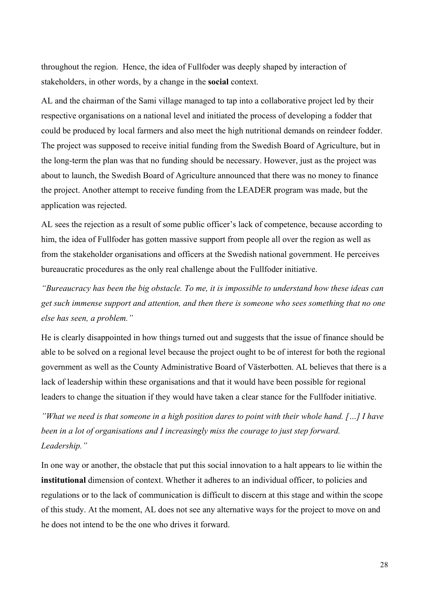throughout the region. Hence, the idea of Fullfoder was deeply shaped by interaction of stakeholders, in other words, by a change in the **social** context.

AL and the chairman of the Sami village managed to tap into a collaborative project led by their respective organisations on a national level and initiated the process of developing a fodder that could be produced by local farmers and also meet the high nutritional demands on reindeer fodder. The project was supposed to receive initial funding from the Swedish Board of Agriculture, but in the long-term the plan was that no funding should be necessary. However, just as the project was about to launch, the Swedish Board of Agriculture announced that there was no money to finance the project. Another attempt to receive funding from the LEADER program was made, but the application was rejected.

AL sees the rejection as a result of some public officer's lack of competence, because according to him, the idea of Fullfoder has gotten massive support from people all over the region as well as from the stakeholder organisations and officers at the Swedish national government. He perceives bureaucratic procedures as the only real challenge about the Fullfoder initiative.

*"Bureaucracy has been the big obstacle. To me, it is impossible to understand how these ideas can get such immense support and attention, and then there is someone who sees something that no one else has seen, a problem."* 

He is clearly disappointed in how things turned out and suggests that the issue of finance should be able to be solved on a regional level because the project ought to be of interest for both the regional government as well as the County Administrative Board of Västerbotten. AL believes that there is a lack of leadership within these organisations and that it would have been possible for regional leaders to change the situation if they would have taken a clear stance for the Fullfoder initiative.

*"What we need is that someone in a high position dares to point with their whole hand. […] I have been in a lot of organisations and I increasingly miss the courage to just step forward. Leadership."*

In one way or another, the obstacle that put this social innovation to a halt appears to lie within the **institutional** dimension of context. Whether it adheres to an individual officer, to policies and regulations or to the lack of communication is difficult to discern at this stage and within the scope of this study. At the moment, AL does not see any alternative ways for the project to move on and he does not intend to be the one who drives it forward.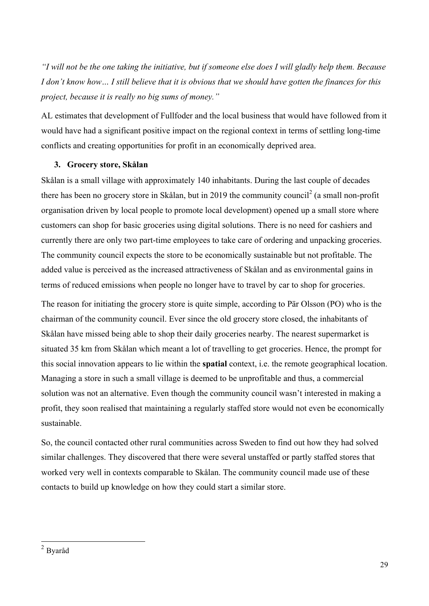*"I will not be the one taking the initiative, but if someone else does I will gladly help them. Because I don't know how… I still believe that it is obvious that we should have gotten the finances for this project, because it is really no big sums of money."* 

AL estimates that development of Fullfoder and the local business that would have followed from it would have had a significant positive impact on the regional context in terms of settling long-time conflicts and creating opportunities for profit in an economically deprived area.

# **3. Grocery store, Skålan**

Skålan is a small village with approximately 140 inhabitants. During the last couple of decades there has been no grocery store in Skålan, but in 2019 the community council<sup>2</sup> (a small non-profit organisation driven by local people to promote local development) opened up a small store where customers can shop for basic groceries using digital solutions. There is no need for cashiers and currently there are only two part-time employees to take care of ordering and unpacking groceries. The community council expects the store to be economically sustainable but not profitable. The added value is perceived as the increased attractiveness of Skålan and as environmental gains in terms of reduced emissions when people no longer have to travel by car to shop for groceries.

The reason for initiating the grocery store is quite simple, according to Pär Olsson (PO) who is the chairman of the community council. Ever since the old grocery store closed, the inhabitants of Skålan have missed being able to shop their daily groceries nearby. The nearest supermarket is situated 35 km from Skålan which meant a lot of travelling to get groceries. Hence, the prompt for this social innovation appears to lie within the **spatial** context, i.e. the remote geographical location. Managing a store in such a small village is deemed to be unprofitable and thus, a commercial solution was not an alternative. Even though the community council wasn't interested in making a profit, they soon realised that maintaining a regularly staffed store would not even be economically sustainable.

So, the council contacted other rural communities across Sweden to find out how they had solved similar challenges. They discovered that there were several unstaffed or partly staffed stores that worked very well in contexts comparable to Skålan. The community council made use of these contacts to build up knowledge on how they could start a similar store.

 <sup>2</sup> Byaråd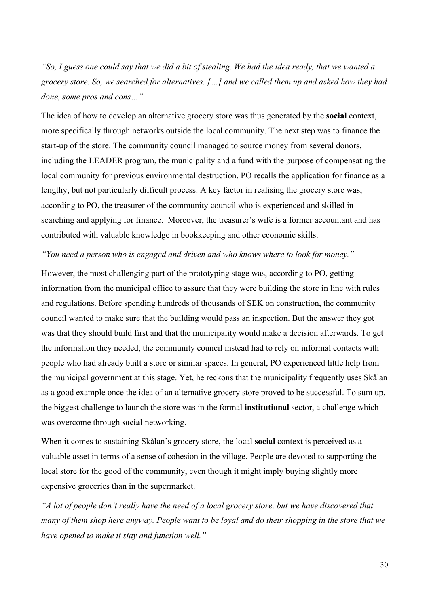*"So, I guess one could say that we did a bit of stealing. We had the idea ready, that we wanted a grocery store. So, we searched for alternatives. […] and we called them up and asked how they had done, some pros and cons…"* 

The idea of how to develop an alternative grocery store was thus generated by the **social** context, more specifically through networks outside the local community. The next step was to finance the start-up of the store. The community council managed to source money from several donors, including the LEADER program, the municipality and a fund with the purpose of compensating the local community for previous environmental destruction. PO recalls the application for finance as a lengthy, but not particularly difficult process. A key factor in realising the grocery store was, according to PO, the treasurer of the community council who is experienced and skilled in searching and applying for finance. Moreover, the treasurer's wife is a former accountant and has contributed with valuable knowledge in bookkeeping and other economic skills.

#### *"You need a person who is engaged and driven and who knows where to look for money."*

However, the most challenging part of the prototyping stage was, according to PO, getting information from the municipal office to assure that they were building the store in line with rules and regulations. Before spending hundreds of thousands of SEK on construction, the community council wanted to make sure that the building would pass an inspection. But the answer they got was that they should build first and that the municipality would make a decision afterwards. To get the information they needed, the community council instead had to rely on informal contacts with people who had already built a store or similar spaces. In general, PO experienced little help from the municipal government at this stage. Yet, he reckons that the municipality frequently uses Skålan as a good example once the idea of an alternative grocery store proved to be successful. To sum up, the biggest challenge to launch the store was in the formal **institutional** sector, a challenge which was overcome through **social** networking.

When it comes to sustaining Skålan's grocery store, the local **social** context is perceived as a valuable asset in terms of a sense of cohesion in the village. People are devoted to supporting the local store for the good of the community, even though it might imply buying slightly more expensive groceries than in the supermarket.

*"A lot of people don't really have the need of a local grocery store, but we have discovered that many of them shop here anyway. People want to be loyal and do their shopping in the store that we have opened to make it stay and function well."*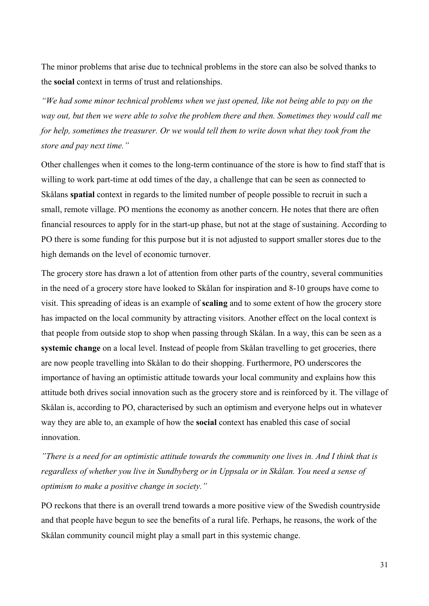The minor problems that arise due to technical problems in the store can also be solved thanks to the **social** context in terms of trust and relationships.

*"We had some minor technical problems when we just opened, like not being able to pay on the way out, but then we were able to solve the problem there and then. Sometimes they would call me for help, sometimes the treasurer. Or we would tell them to write down what they took from the store and pay next time."*

Other challenges when it comes to the long-term continuance of the store is how to find staff that is willing to work part-time at odd times of the day, a challenge that can be seen as connected to Skålans **spatial** context in regards to the limited number of people possible to recruit in such a small, remote village. PO mentions the economy as another concern. He notes that there are often financial resources to apply for in the start-up phase, but not at the stage of sustaining. According to PO there is some funding for this purpose but it is not adjusted to support smaller stores due to the high demands on the level of economic turnover.

The grocery store has drawn a lot of attention from other parts of the country, several communities in the need of a grocery store have looked to Skålan for inspiration and 8-10 groups have come to visit. This spreading of ideas is an example of **scaling** and to some extent of how the grocery store has impacted on the local community by attracting visitors. Another effect on the local context is that people from outside stop to shop when passing through Skålan. In a way, this can be seen as a **systemic change** on a local level. Instead of people from Skålan travelling to get groceries, there are now people travelling into Skålan to do their shopping. Furthermore, PO underscores the importance of having an optimistic attitude towards your local community and explains how this attitude both drives social innovation such as the grocery store and is reinforced by it. The village of Skålan is, according to PO, characterised by such an optimism and everyone helps out in whatever way they are able to, an example of how the **social** context has enabled this case of social innovation.

*"There is a need for an optimistic attitude towards the community one lives in. And I think that is regardless of whether you live in Sundbyberg or in Uppsala or in Skålan. You need a sense of optimism to make a positive change in society."* 

PO reckons that there is an overall trend towards a more positive view of the Swedish countryside and that people have begun to see the benefits of a rural life. Perhaps, he reasons, the work of the Skålan community council might play a small part in this systemic change.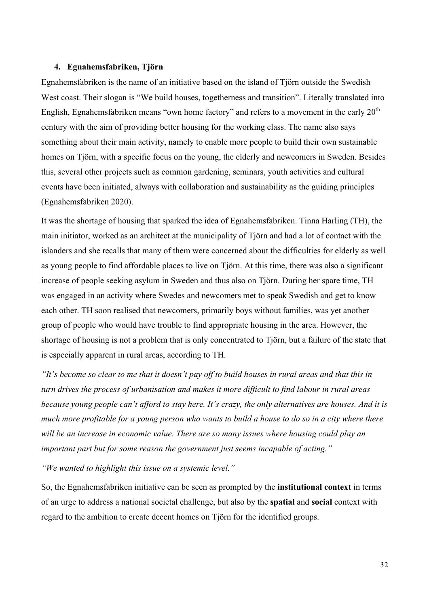### **4. Egnahemsfabriken, Tjörn**

Egnahemsfabriken is the name of an initiative based on the island of Tjörn outside the Swedish West coast. Their slogan is "We build houses, togetherness and transition". Literally translated into English, Egnahemsfabriken means "own home factory" and refers to a movement in the early  $20<sup>th</sup>$ century with the aim of providing better housing for the working class. The name also says something about their main activity, namely to enable more people to build their own sustainable homes on Tjörn, with a specific focus on the young, the elderly and newcomers in Sweden. Besides this, several other projects such as common gardening, seminars, youth activities and cultural events have been initiated, always with collaboration and sustainability as the guiding principles (Egnahemsfabriken 2020).

It was the shortage of housing that sparked the idea of Egnahemsfabriken. Tinna Harling (TH), the main initiator, worked as an architect at the municipality of Tjörn and had a lot of contact with the islanders and she recalls that many of them were concerned about the difficulties for elderly as well as young people to find affordable places to live on Tjörn. At this time, there was also a significant increase of people seeking asylum in Sweden and thus also on Tjörn. During her spare time, TH was engaged in an activity where Swedes and newcomers met to speak Swedish and get to know each other. TH soon realised that newcomers, primarily boys without families, was yet another group of people who would have trouble to find appropriate housing in the area. However, the shortage of housing is not a problem that is only concentrated to Tjörn, but a failure of the state that is especially apparent in rural areas, according to TH.

*"It's become so clear to me that it doesn't pay off to build houses in rural areas and that this in turn drives the process of urbanisation and makes it more difficult to find labour in rural areas because young people can't afford to stay here. It's crazy, the only alternatives are houses. And it is much more profitable for a young person who wants to build a house to do so in a city where there will be an increase in economic value. There are so many issues where housing could play an important part but for some reason the government just seems incapable of acting."*

*"We wanted to highlight this issue on a systemic level."*

So, the Egnahemsfabriken initiative can be seen as prompted by the **institutional context** in terms of an urge to address a national societal challenge, but also by the **spatial** and **social** context with regard to the ambition to create decent homes on Tjörn for the identified groups.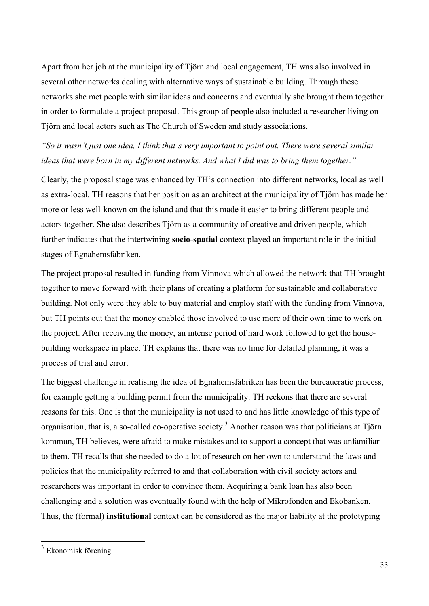Apart from her job at the municipality of Tjörn and local engagement, TH was also involved in several other networks dealing with alternative ways of sustainable building. Through these networks she met people with similar ideas and concerns and eventually she brought them together in order to formulate a project proposal. This group of people also included a researcher living on Tjörn and local actors such as The Church of Sweden and study associations.

*"So it wasn't just one idea, I think that's very important to point out. There were several similar ideas that were born in my different networks. And what I did was to bring them together."*

Clearly, the proposal stage was enhanced by TH's connection into different networks, local as well as extra-local. TH reasons that her position as an architect at the municipality of Tjörn has made her more or less well-known on the island and that this made it easier to bring different people and actors together. She also describes Tjörn as a community of creative and driven people, which further indicates that the intertwining **socio-spatial** context played an important role in the initial stages of Egnahemsfabriken.

The project proposal resulted in funding from Vinnova which allowed the network that TH brought together to move forward with their plans of creating a platform for sustainable and collaborative building. Not only were they able to buy material and employ staff with the funding from Vinnova, but TH points out that the money enabled those involved to use more of their own time to work on the project. After receiving the money, an intense period of hard work followed to get the housebuilding workspace in place. TH explains that there was no time for detailed planning, it was a process of trial and error.

The biggest challenge in realising the idea of Egnahemsfabriken has been the bureaucratic process, for example getting a building permit from the municipality. TH reckons that there are several reasons for this. One is that the municipality is not used to and has little knowledge of this type of organisation, that is, a so-called co-operative society.<sup>3</sup> Another reason was that politicians at Tjörn kommun, TH believes, were afraid to make mistakes and to support a concept that was unfamiliar to them. TH recalls that she needed to do a lot of research on her own to understand the laws and policies that the municipality referred to and that collaboration with civil society actors and researchers was important in order to convince them. Acquiring a bank loan has also been challenging and a solution was eventually found with the help of Mikrofonden and Ekobanken. Thus, the (formal) **institutional** context can be considered as the major liability at the prototyping

 <sup>3</sup> Ekonomisk förening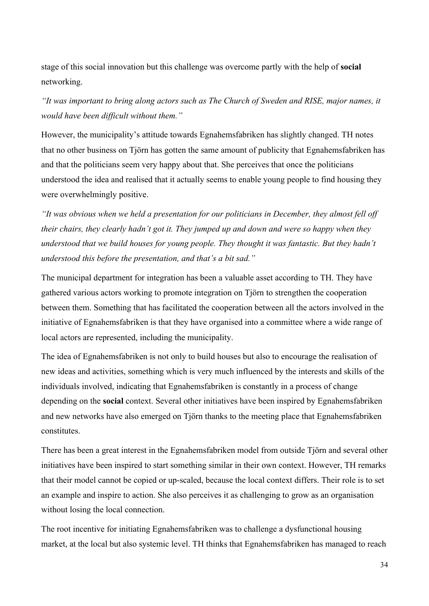stage of this social innovation but this challenge was overcome partly with the help of **social** networking.

*"It was important to bring along actors such as The Church of Sweden and RISE, major names, it would have been difficult without them."*

However, the municipality's attitude towards Egnahemsfabriken has slightly changed. TH notes that no other business on Tjörn has gotten the same amount of publicity that Egnahemsfabriken has and that the politicians seem very happy about that. She perceives that once the politicians understood the idea and realised that it actually seems to enable young people to find housing they were overwhelmingly positive.

*"It was obvious when we held a presentation for our politicians in December, they almost fell off their chairs, they clearly hadn't got it. They jumped up and down and were so happy when they understood that we build houses for young people. They thought it was fantastic. But they hadn't understood this before the presentation, and that's a bit sad."*

The municipal department for integration has been a valuable asset according to TH. They have gathered various actors working to promote integration on Tjörn to strengthen the cooperation between them. Something that has facilitated the cooperation between all the actors involved in the initiative of Egnahemsfabriken is that they have organised into a committee where a wide range of local actors are represented, including the municipality.

The idea of Egnahemsfabriken is not only to build houses but also to encourage the realisation of new ideas and activities, something which is very much influenced by the interests and skills of the individuals involved, indicating that Egnahemsfabriken is constantly in a process of change depending on the **social** context. Several other initiatives have been inspired by Egnahemsfabriken and new networks have also emerged on Tjörn thanks to the meeting place that Egnahemsfabriken constitutes.

There has been a great interest in the Egnahemsfabriken model from outside Tjörn and several other initiatives have been inspired to start something similar in their own context. However, TH remarks that their model cannot be copied or up-scaled, because the local context differs. Their role is to set an example and inspire to action. She also perceives it as challenging to grow as an organisation without losing the local connection.

The root incentive for initiating Egnahemsfabriken was to challenge a dysfunctional housing market, at the local but also systemic level. TH thinks that Egnahemsfabriken has managed to reach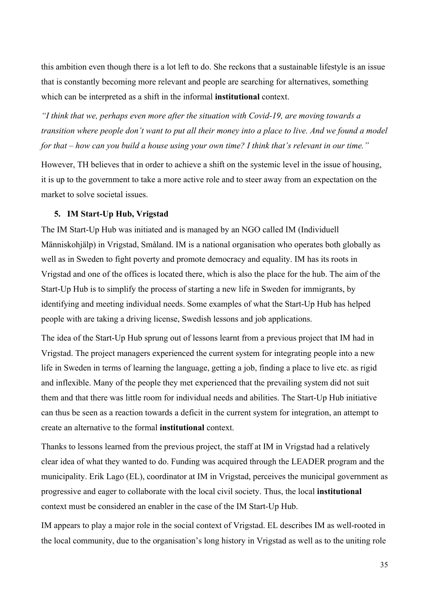this ambition even though there is a lot left to do. She reckons that a sustainable lifestyle is an issue that is constantly becoming more relevant and people are searching for alternatives, something which can be interpreted as a shift in the informal **institutional** context.

*"I think that we, perhaps even more after the situation with Covid-19, are moving towards a transition where people don't want to put all their money into a place to live. And we found a model for that – how can you build a house using your own time? I think that's relevant in our time."*

However, TH believes that in order to achieve a shift on the systemic level in the issue of housing, it is up to the government to take a more active role and to steer away from an expectation on the market to solve societal issues.

# **5. IM Start-Up Hub, Vrigstad**

The IM Start-Up Hub was initiated and is managed by an NGO called IM (Individuell Människohjälp) in Vrigstad, Småland. IM is a national organisation who operates both globally as well as in Sweden to fight poverty and promote democracy and equality. IM has its roots in Vrigstad and one of the offices is located there, which is also the place for the hub. The aim of the Start-Up Hub is to simplify the process of starting a new life in Sweden for immigrants, by identifying and meeting individual needs. Some examples of what the Start-Up Hub has helped people with are taking a driving license, Swedish lessons and job applications.

The idea of the Start-Up Hub sprung out of lessons learnt from a previous project that IM had in Vrigstad. The project managers experienced the current system for integrating people into a new life in Sweden in terms of learning the language, getting a job, finding a place to live etc. as rigid and inflexible. Many of the people they met experienced that the prevailing system did not suit them and that there was little room for individual needs and abilities. The Start-Up Hub initiative can thus be seen as a reaction towards a deficit in the current system for integration, an attempt to create an alternative to the formal **institutional** context.

Thanks to lessons learned from the previous project, the staff at IM in Vrigstad had a relatively clear idea of what they wanted to do. Funding was acquired through the LEADER program and the municipality. Erik Lago (EL), coordinator at IM in Vrigstad, perceives the municipal government as progressive and eager to collaborate with the local civil society. Thus, the local **institutional** context must be considered an enabler in the case of the IM Start-Up Hub.

IM appears to play a major role in the social context of Vrigstad. EL describes IM as well-rooted in the local community, due to the organisation's long history in Vrigstad as well as to the uniting role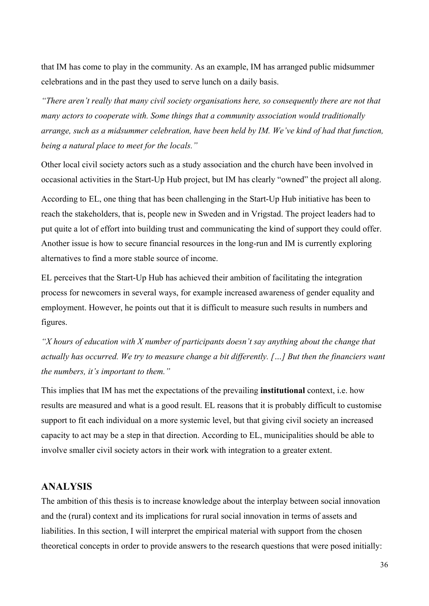that IM has come to play in the community. As an example, IM has arranged public midsummer celebrations and in the past they used to serve lunch on a daily basis.

*"There aren't really that many civil society organisations here, so consequently there are not that many actors to cooperate with. Some things that a community association would traditionally arrange, such as a midsummer celebration, have been held by IM. We've kind of had that function, being a natural place to meet for the locals."*

Other local civil society actors such as a study association and the church have been involved in occasional activities in the Start-Up Hub project, but IM has clearly "owned" the project all along.

According to EL, one thing that has been challenging in the Start-Up Hub initiative has been to reach the stakeholders, that is, people new in Sweden and in Vrigstad. The project leaders had to put quite a lot of effort into building trust and communicating the kind of support they could offer. Another issue is how to secure financial resources in the long-run and IM is currently exploring alternatives to find a more stable source of income.

EL perceives that the Start-Up Hub has achieved their ambition of facilitating the integration process for newcomers in several ways, for example increased awareness of gender equality and employment. However, he points out that it is difficult to measure such results in numbers and figures.

*"X hours of education with X number of participants doesn't say anything about the change that actually has occurred. We try to measure change a bit differently. […] But then the financiers want the numbers, it's important to them."*

This implies that IM has met the expectations of the prevailing **institutional** context, i.e. how results are measured and what is a good result. EL reasons that it is probably difficult to customise support to fit each individual on a more systemic level, but that giving civil society an increased capacity to act may be a step in that direction. According to EL, municipalities should be able to involve smaller civil society actors in their work with integration to a greater extent.

# **ANALYSIS**

The ambition of this thesis is to increase knowledge about the interplay between social innovation and the (rural) context and its implications for rural social innovation in terms of assets and liabilities. In this section, I will interpret the empirical material with support from the chosen theoretical concepts in order to provide answers to the research questions that were posed initially: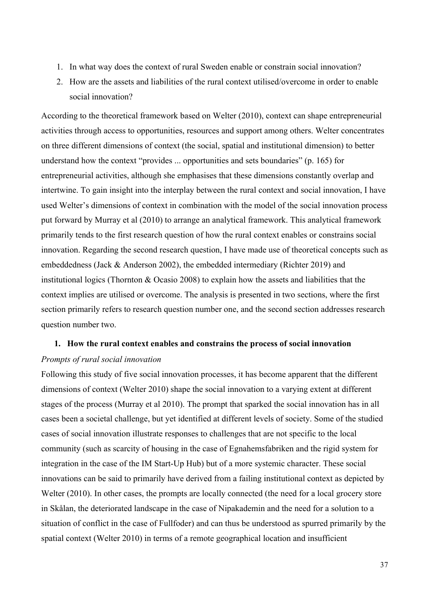- 1. In what way does the context of rural Sweden enable or constrain social innovation?
- 2. How are the assets and liabilities of the rural context utilised/overcome in order to enable social innovation?

According to the theoretical framework based on Welter (2010), context can shape entrepreneurial activities through access to opportunities, resources and support among others. Welter concentrates on three different dimensions of context (the social, spatial and institutional dimension) to better understand how the context "provides ... opportunities and sets boundaries" (p. 165) for entrepreneurial activities, although she emphasises that these dimensions constantly overlap and intertwine. To gain insight into the interplay between the rural context and social innovation, I have used Welter's dimensions of context in combination with the model of the social innovation process put forward by Murray et al (2010) to arrange an analytical framework. This analytical framework primarily tends to the first research question of how the rural context enables or constrains social innovation. Regarding the second research question, I have made use of theoretical concepts such as embeddedness (Jack & Anderson 2002), the embedded intermediary (Richter 2019) and institutional logics (Thornton & Ocasio 2008) to explain how the assets and liabilities that the context implies are utilised or overcome. The analysis is presented in two sections, where the first section primarily refers to research question number one, and the second section addresses research question number two.

### **1. How the rural context enables and constrains the process of social innovation**

### *Prompts of rural social innovation*

Following this study of five social innovation processes, it has become apparent that the different dimensions of context (Welter 2010) shape the social innovation to a varying extent at different stages of the process (Murray et al 2010). The prompt that sparked the social innovation has in all cases been a societal challenge, but yet identified at different levels of society. Some of the studied cases of social innovation illustrate responses to challenges that are not specific to the local community (such as scarcity of housing in the case of Egnahemsfabriken and the rigid system for integration in the case of the IM Start-Up Hub) but of a more systemic character. These social innovations can be said to primarily have derived from a failing institutional context as depicted by Welter (2010). In other cases, the prompts are locally connected (the need for a local grocery store in Skålan, the deteriorated landscape in the case of Nipakademin and the need for a solution to a situation of conflict in the case of Fullfoder) and can thus be understood as spurred primarily by the spatial context (Welter 2010) in terms of a remote geographical location and insufficient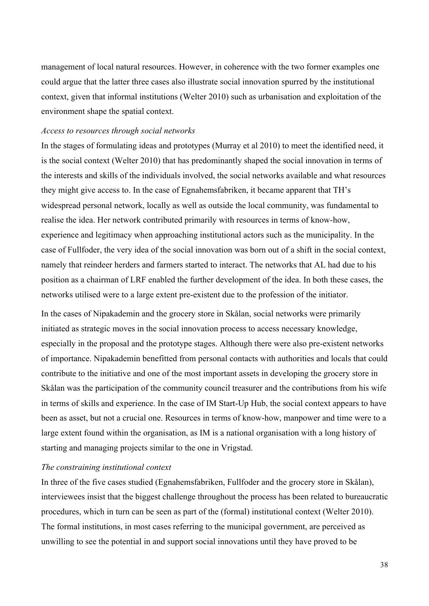management of local natural resources. However, in coherence with the two former examples one could argue that the latter three cases also illustrate social innovation spurred by the institutional context, given that informal institutions (Welter 2010) such as urbanisation and exploitation of the environment shape the spatial context.

### *Access to resources through social networks*

In the stages of formulating ideas and prototypes (Murray et al 2010) to meet the identified need, it is the social context (Welter 2010) that has predominantly shaped the social innovation in terms of the interests and skills of the individuals involved, the social networks available and what resources they might give access to. In the case of Egnahemsfabriken, it became apparent that TH's widespread personal network, locally as well as outside the local community, was fundamental to realise the idea. Her network contributed primarily with resources in terms of know-how, experience and legitimacy when approaching institutional actors such as the municipality. In the case of Fullfoder, the very idea of the social innovation was born out of a shift in the social context, namely that reindeer herders and farmers started to interact. The networks that AL had due to his position as a chairman of LRF enabled the further development of the idea. In both these cases, the networks utilised were to a large extent pre-existent due to the profession of the initiator.

In the cases of Nipakademin and the grocery store in Skålan, social networks were primarily initiated as strategic moves in the social innovation process to access necessary knowledge, especially in the proposal and the prototype stages. Although there were also pre-existent networks of importance. Nipakademin benefitted from personal contacts with authorities and locals that could contribute to the initiative and one of the most important assets in developing the grocery store in Skålan was the participation of the community council treasurer and the contributions from his wife in terms of skills and experience. In the case of IM Start-Up Hub, the social context appears to have been as asset, but not a crucial one. Resources in terms of know-how, manpower and time were to a large extent found within the organisation, as IM is a national organisation with a long history of starting and managing projects similar to the one in Vrigstad.

### *The constraining institutional context*

In three of the five cases studied (Egnahemsfabriken, Fullfoder and the grocery store in Skålan), interviewees insist that the biggest challenge throughout the process has been related to bureaucratic procedures, which in turn can be seen as part of the (formal) institutional context (Welter 2010). The formal institutions, in most cases referring to the municipal government, are perceived as unwilling to see the potential in and support social innovations until they have proved to be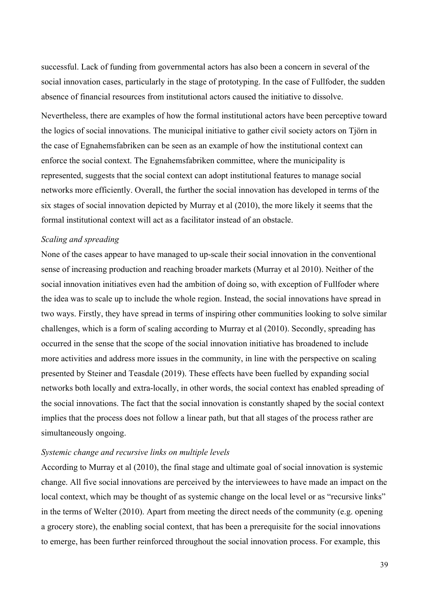successful. Lack of funding from governmental actors has also been a concern in several of the social innovation cases, particularly in the stage of prototyping. In the case of Fullfoder, the sudden absence of financial resources from institutional actors caused the initiative to dissolve.

Nevertheless, there are examples of how the formal institutional actors have been perceptive toward the logics of social innovations. The municipal initiative to gather civil society actors on Tjörn in the case of Egnahemsfabriken can be seen as an example of how the institutional context can enforce the social context. The Egnahemsfabriken committee, where the municipality is represented, suggests that the social context can adopt institutional features to manage social networks more efficiently. Overall, the further the social innovation has developed in terms of the six stages of social innovation depicted by Murray et al (2010), the more likely it seems that the formal institutional context will act as a facilitator instead of an obstacle.

### *Scaling and spreading*

None of the cases appear to have managed to up-scale their social innovation in the conventional sense of increasing production and reaching broader markets (Murray et al 2010). Neither of the social innovation initiatives even had the ambition of doing so, with exception of Fullfoder where the idea was to scale up to include the whole region. Instead, the social innovations have spread in two ways. Firstly, they have spread in terms of inspiring other communities looking to solve similar challenges, which is a form of scaling according to Murray et al (2010). Secondly, spreading has occurred in the sense that the scope of the social innovation initiative has broadened to include more activities and address more issues in the community, in line with the perspective on scaling presented by Steiner and Teasdale (2019). These effects have been fuelled by expanding social networks both locally and extra-locally, in other words, the social context has enabled spreading of the social innovations. The fact that the social innovation is constantly shaped by the social context implies that the process does not follow a linear path, but that all stages of the process rather are simultaneously ongoing.

### *Systemic change and recursive links on multiple levels*

According to Murray et al (2010), the final stage and ultimate goal of social innovation is systemic change. All five social innovations are perceived by the interviewees to have made an impact on the local context, which may be thought of as systemic change on the local level or as "recursive links" in the terms of Welter (2010). Apart from meeting the direct needs of the community (e.g. opening a grocery store), the enabling social context, that has been a prerequisite for the social innovations to emerge, has been further reinforced throughout the social innovation process. For example, this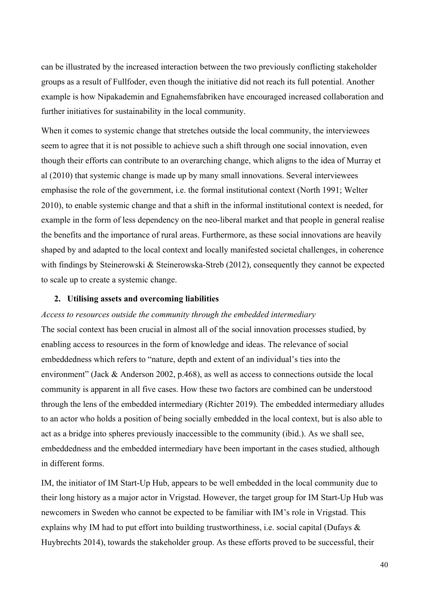can be illustrated by the increased interaction between the two previously conflicting stakeholder groups as a result of Fullfoder, even though the initiative did not reach its full potential. Another example is how Nipakademin and Egnahemsfabriken have encouraged increased collaboration and further initiatives for sustainability in the local community.

When it comes to systemic change that stretches outside the local community, the interviewees seem to agree that it is not possible to achieve such a shift through one social innovation, even though their efforts can contribute to an overarching change, which aligns to the idea of Murray et al (2010) that systemic change is made up by many small innovations. Several interviewees emphasise the role of the government, i.e. the formal institutional context (North 1991; Welter 2010), to enable systemic change and that a shift in the informal institutional context is needed, for example in the form of less dependency on the neo-liberal market and that people in general realise the benefits and the importance of rural areas. Furthermore, as these social innovations are heavily shaped by and adapted to the local context and locally manifested societal challenges, in coherence with findings by Steinerowski & Steinerowska-Streb (2012), consequently they cannot be expected to scale up to create a systemic change.

#### **2. Utilising assets and overcoming liabilities**

### *Access to resources outside the community through the embedded intermediary*

The social context has been crucial in almost all of the social innovation processes studied, by enabling access to resources in the form of knowledge and ideas. The relevance of social embeddedness which refers to "nature, depth and extent of an individual's ties into the environment" (Jack & Anderson 2002, p.468), as well as access to connections outside the local community is apparent in all five cases. How these two factors are combined can be understood through the lens of the embedded intermediary (Richter 2019). The embedded intermediary alludes to an actor who holds a position of being socially embedded in the local context, but is also able to act as a bridge into spheres previously inaccessible to the community (ibid.). As we shall see, embeddedness and the embedded intermediary have been important in the cases studied, although in different forms.

IM, the initiator of IM Start-Up Hub, appears to be well embedded in the local community due to their long history as a major actor in Vrigstad. However, the target group for IM Start-Up Hub was newcomers in Sweden who cannot be expected to be familiar with IM's role in Vrigstad. This explains why IM had to put effort into building trustworthiness, i.e. social capital (Dufays  $\&$ Huybrechts 2014), towards the stakeholder group. As these efforts proved to be successful, their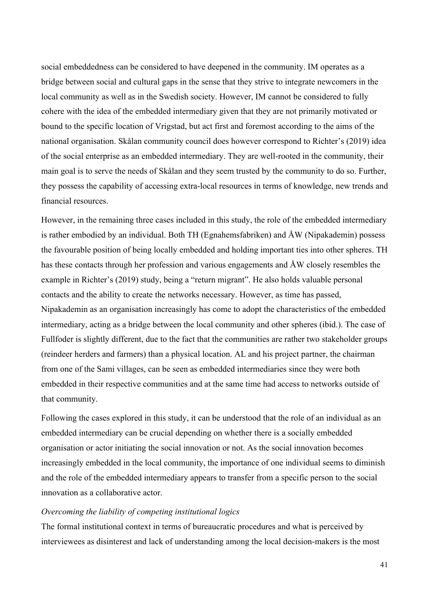social embeddedness can be considered to have deepened in the community. IM operates as a bridge between social and cultural gaps in the sense that they strive to integrate newcomers in the local community as well as in the Swedish society. However, IM cannot be considered to fully cohere with the idea of the embedded intermediary given that they are not primarily motivated or bound to the specific location of Vrigstad, but act first and foremost according to the aims of the national organisation. Skålan community council does however correspond to Richter's (2019) idea of the social enterprise as an embedded intermediary. They are well-rooted in the community, their main goal is to serve the needs of Skålan and they seem trusted by the community to do so. Further, they possess the capability of accessing extra-local resources in terms of knowledge, new trends and financial resources.

However, in the remaining three cases included in this study, the role of the embedded intermediary is rather embodied by an individual. Both TH (Egnahemsfabriken) and ÅW (Nipakademin) possess the favourable position of being locally embedded and holding important ties into other spheres. TH has these contacts through her profession and various engagements and ÅW closely resembles the example in Richter's (2019) study, being a "return migrant". He also holds valuable personal contacts and the ability to create the networks necessary. However, as time has passed, Nipakademin as an organisation increasingly has come to adopt the characteristics of the embedded intermediary, acting as a bridge between the local community and other spheres (ibid.). The case of Fullfoder is slightly different, due to the fact that the communities are rather two stakeholder groups (reindeer herders and farmers) than a physical location. AL and his project partner, the chairman from one of the Sami villages, can be seen as embedded intermediaries since they were both embedded in their respective communities and at the same time had access to networks outside of that community.

Following the cases explored in this study, it can be understood that the role of an individual as an embedded intermediary can be crucial depending on whether there is a socially embedded organisation or actor initiating the social innovation or not. As the social innovation becomes increasingly embedded in the local community, the importance of one individual seems to diminish and the role of the embedded intermediary appears to transfer from a specific person to the social innovation as a collaborative actor.

### *Overcoming the liability of competing institutional logics*

The formal institutional context in terms of bureaucratic procedures and what is perceived by interviewees as disinterest and lack of understanding among the local decision-makers is the most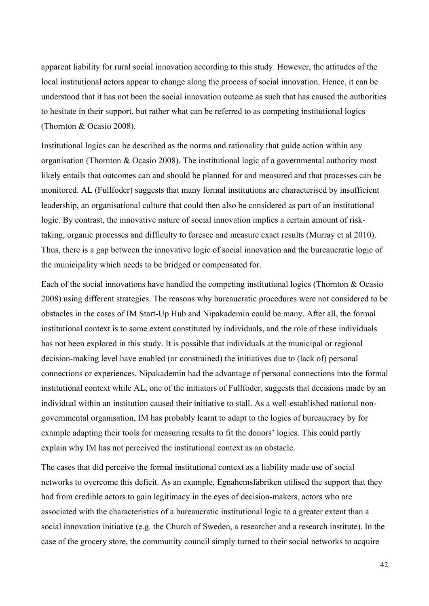apparent liability for rural social innovation according to this study. However, the attitudes of the local institutional actors appear to change along the process of social innovation. Hence, it can be understood that it has not been the social innovation outcome as such that has caused the authorities to hesitate in their support, but rather what can be referred to as competing institutional logics (Thornton & Ocasio 2008).

Institutional logics can be described as the norms and rationality that guide action within any organisation (Thornton & Ocasio 2008). The institutional logic of a governmental authority most likely entails that outcomes can and should be planned for and measured and that processes can be monitored. AL (Fullfoder) suggests that many formal institutions are characterised by insufficient leadership, an organisational culture that could then also be considered as part of an institutional logic. By contrast, the innovative nature of social innovation implies a certain amount of risktaking, organic processes and difficulty to foresee and measure exact results (Murray et al 2010). Thus, there is a gap between the innovative logic of social innovation and the bureaucratic logic of the municipality which needs to be bridged or compensated for.

Each of the social innovations have handled the competing institutional logics (Thornton & Ocasio 2008) using different strategies. The reasons why bureaucratic procedures were not considered to be obstacles in the cases of IM Start-Up Hub and Nipakademin could be many. After all, the formal institutional context is to some extent constituted by individuals, and the role of these individuals has not been explored in this study. It is possible that individuals at the municipal or regional decision-making level have enabled (or constrained) the initiatives due to (lack of) personal connections or experiences. Nipakademin had the advantage of personal connections into the formal institutional context while AL, one of the initiators of Fullfoder, suggests that decisions made by an individual within an institution caused their initiative to stall. As a well-established national nongovernmental organisation, IM has probably learnt to adapt to the logics of bureaucracy by for example adapting their tools for measuring results to fit the donors' logics. This could partly explain why IM has not perceived the institutional context as an obstacle.

The cases that did perceive the formal institutional context as a liability made use of social networks to overcome this deficit. As an example, Egnahemsfabriken utilised the support that they had from credible actors to gain legitimacy in the eyes of decision-makers, actors who are associated with the characteristics of a bureaucratic institutional logic to a greater extent than a social innovation initiative (e.g. the Church of Sweden, a researcher and a research institute). In the case of the grocery store, the community council simply turned to their social networks to acquire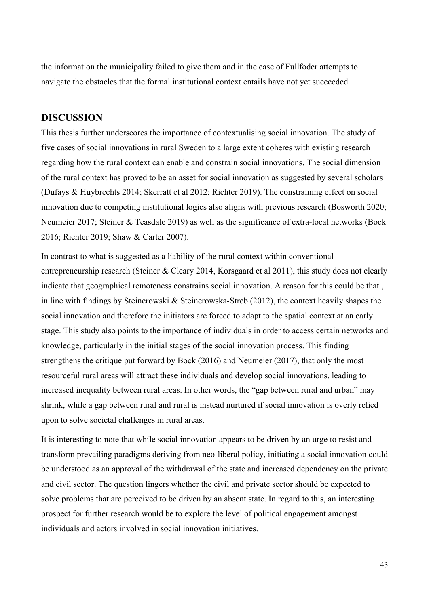the information the municipality failed to give them and in the case of Fullfoder attempts to navigate the obstacles that the formal institutional context entails have not yet succeeded.

# **DISCUSSION**

This thesis further underscores the importance of contextualising social innovation. The study of five cases of social innovations in rural Sweden to a large extent coheres with existing research regarding how the rural context can enable and constrain social innovations. The social dimension of the rural context has proved to be an asset for social innovation as suggested by several scholars (Dufays & Huybrechts 2014; Skerratt et al 2012; Richter 2019). The constraining effect on social innovation due to competing institutional logics also aligns with previous research (Bosworth 2020; Neumeier 2017; Steiner & Teasdale 2019) as well as the significance of extra-local networks (Bock 2016; Richter 2019; Shaw & Carter 2007).

In contrast to what is suggested as a liability of the rural context within conventional entrepreneurship research (Steiner & Cleary 2014, Korsgaard et al 2011), this study does not clearly indicate that geographical remoteness constrains social innovation. A reason for this could be that , in line with findings by Steinerowski & Steinerowska-Streb (2012), the context heavily shapes the social innovation and therefore the initiators are forced to adapt to the spatial context at an early stage. This study also points to the importance of individuals in order to access certain networks and knowledge, particularly in the initial stages of the social innovation process. This finding strengthens the critique put forward by Bock (2016) and Neumeier (2017), that only the most resourceful rural areas will attract these individuals and develop social innovations, leading to increased inequality between rural areas. In other words, the "gap between rural and urban" may shrink, while a gap between rural and rural is instead nurtured if social innovation is overly relied upon to solve societal challenges in rural areas.

It is interesting to note that while social innovation appears to be driven by an urge to resist and transform prevailing paradigms deriving from neo-liberal policy, initiating a social innovation could be understood as an approval of the withdrawal of the state and increased dependency on the private and civil sector. The question lingers whether the civil and private sector should be expected to solve problems that are perceived to be driven by an absent state. In regard to this, an interesting prospect for further research would be to explore the level of political engagement amongst individuals and actors involved in social innovation initiatives.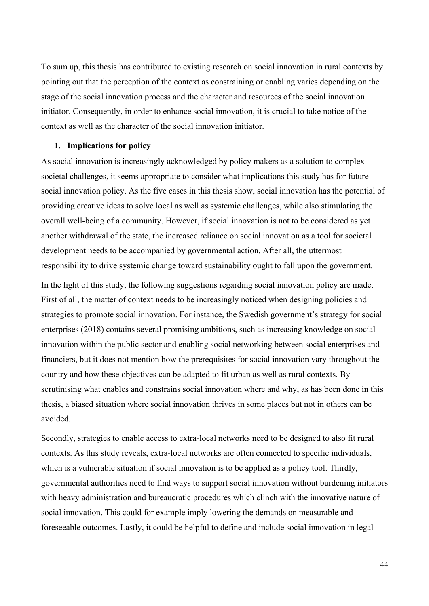To sum up, this thesis has contributed to existing research on social innovation in rural contexts by pointing out that the perception of the context as constraining or enabling varies depending on the stage of the social innovation process and the character and resources of the social innovation initiator. Consequently, in order to enhance social innovation, it is crucial to take notice of the context as well as the character of the social innovation initiator.

### **1. Implications for policy**

As social innovation is increasingly acknowledged by policy makers as a solution to complex societal challenges, it seems appropriate to consider what implications this study has for future social innovation policy. As the five cases in this thesis show, social innovation has the potential of providing creative ideas to solve local as well as systemic challenges, while also stimulating the overall well-being of a community. However, if social innovation is not to be considered as yet another withdrawal of the state, the increased reliance on social innovation as a tool for societal development needs to be accompanied by governmental action. After all, the uttermost responsibility to drive systemic change toward sustainability ought to fall upon the government.

In the light of this study, the following suggestions regarding social innovation policy are made. First of all, the matter of context needs to be increasingly noticed when designing policies and strategies to promote social innovation. For instance, the Swedish government's strategy for social enterprises (2018) contains several promising ambitions, such as increasing knowledge on social innovation within the public sector and enabling social networking between social enterprises and financiers, but it does not mention how the prerequisites for social innovation vary throughout the country and how these objectives can be adapted to fit urban as well as rural contexts. By scrutinising what enables and constrains social innovation where and why, as has been done in this thesis, a biased situation where social innovation thrives in some places but not in others can be avoided.

Secondly, strategies to enable access to extra-local networks need to be designed to also fit rural contexts. As this study reveals, extra-local networks are often connected to specific individuals, which is a vulnerable situation if social innovation is to be applied as a policy tool. Thirdly, governmental authorities need to find ways to support social innovation without burdening initiators with heavy administration and bureaucratic procedures which clinch with the innovative nature of social innovation. This could for example imply lowering the demands on measurable and foreseeable outcomes. Lastly, it could be helpful to define and include social innovation in legal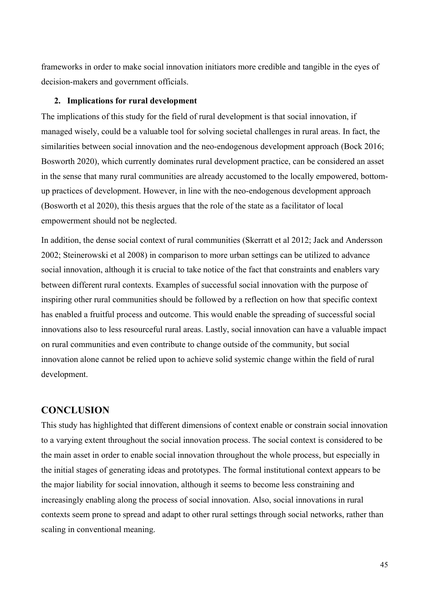frameworks in order to make social innovation initiators more credible and tangible in the eyes of decision-makers and government officials.

### **2. Implications for rural development**

The implications of this study for the field of rural development is that social innovation, if managed wisely, could be a valuable tool for solving societal challenges in rural areas. In fact, the similarities between social innovation and the neo-endogenous development approach (Bock 2016; Bosworth 2020), which currently dominates rural development practice, can be considered an asset in the sense that many rural communities are already accustomed to the locally empowered, bottomup practices of development. However, in line with the neo-endogenous development approach (Bosworth et al 2020), this thesis argues that the role of the state as a facilitator of local empowerment should not be neglected.

In addition, the dense social context of rural communities (Skerratt et al 2012; Jack and Andersson 2002; Steinerowski et al 2008) in comparison to more urban settings can be utilized to advance social innovation, although it is crucial to take notice of the fact that constraints and enablers vary between different rural contexts. Examples of successful social innovation with the purpose of inspiring other rural communities should be followed by a reflection on how that specific context has enabled a fruitful process and outcome. This would enable the spreading of successful social innovations also to less resourceful rural areas. Lastly, social innovation can have a valuable impact on rural communities and even contribute to change outside of the community, but social innovation alone cannot be relied upon to achieve solid systemic change within the field of rural development.

# **CONCLUSION**

This study has highlighted that different dimensions of context enable or constrain social innovation to a varying extent throughout the social innovation process. The social context is considered to be the main asset in order to enable social innovation throughout the whole process, but especially in the initial stages of generating ideas and prototypes. The formal institutional context appears to be the major liability for social innovation, although it seems to become less constraining and increasingly enabling along the process of social innovation. Also, social innovations in rural contexts seem prone to spread and adapt to other rural settings through social networks, rather than scaling in conventional meaning.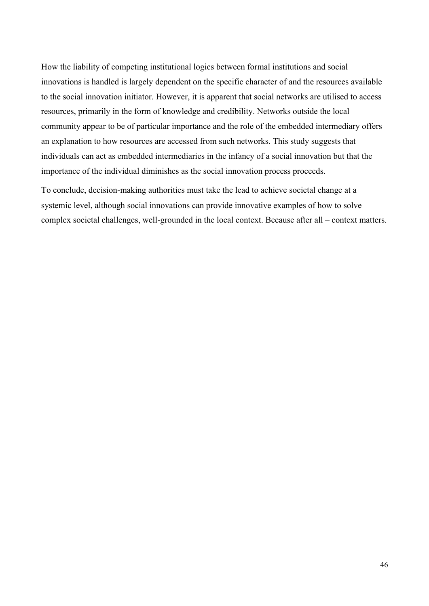How the liability of competing institutional logics between formal institutions and social innovations is handled is largely dependent on the specific character of and the resources available to the social innovation initiator. However, it is apparent that social networks are utilised to access resources, primarily in the form of knowledge and credibility. Networks outside the local community appear to be of particular importance and the role of the embedded intermediary offers an explanation to how resources are accessed from such networks. This study suggests that individuals can act as embedded intermediaries in the infancy of a social innovation but that the importance of the individual diminishes as the social innovation process proceeds.

To conclude, decision-making authorities must take the lead to achieve societal change at a systemic level, although social innovations can provide innovative examples of how to solve complex societal challenges, well-grounded in the local context. Because after all – context matters.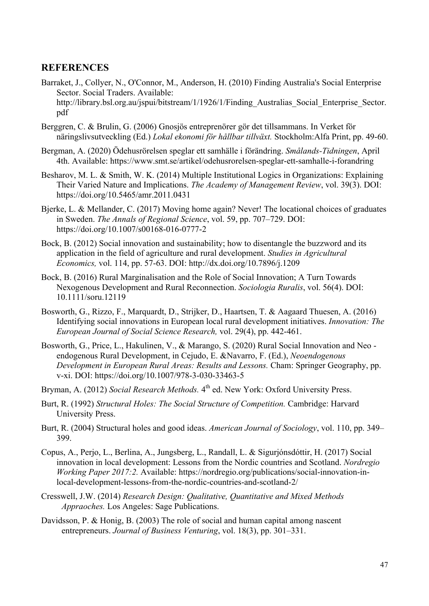# **REFERENCES**

- Barraket, J., Collyer, N., O'Connor, M., Anderson, H. (2010) Finding Australia's Social Enterprise Sector. Social Traders. Available: http://library.bsl.org.au/jspui/bitstream/1/1926/1/Finding\_Australias\_Social\_Enterprise\_Sector. pdf
- Berggren, C. & Brulin, G. (2006) Gnosjös entreprenörer gör det tillsammans. In Verket för näringslivsutveckling (Ed.) *Lokal ekonomi för hållbar tillväxt.* Stockholm:Alfa Print, pp. 49-60.
- Bergman, A. (2020) Ödehusrörelsen speglar ett samhälle i förändring. *Smålands-Tidningen*, April 4th. Available: https://www.smt.se/artikel/odehusrorelsen-speglar-ett-samhalle-i-forandring
- Besharov, M. L. & Smith, W. K. (2014) Multiple Institutional Logics in Organizations: Explaining Their Varied Nature and Implications. *The Academy of Management Review*, vol. 39(3). DOI: https://doi.org/10.5465/amr.2011.0431
- Bjerke, L. & Mellander, C. (2017) Moving home again? Never! The locational choices of graduates in Sweden. *The Annals of Regional Science*, vol. 59, pp. 707–729. DOI: https://doi.org/10.1007/s00168-016-0777-2
- Bock, B. (2012) Social innovation and sustainability; how to disentangle the buzzword and its application in the field of agriculture and rural development. *Studies in Agricultural Economics,* vol. 114, pp. 57-63. DOI: http://dx.doi.org/10.7896/j.1209
- Bock, B. (2016) Rural Marginalisation and the Role of Social Innovation; A Turn Towards Nexogenous Development and Rural Reconnection. *Sociologia Ruralis*, vol. 56(4). DOI: 10.1111/soru.12119
- Bosworth, G., Rizzo, F., Marquardt, D., Strijker, D., Haartsen, T. & Aagaard Thuesen, A. (2016) Identifying social innovations in European local rural development initiatives. *Innovation: The European Journal of Social Science Research,* vol. 29(4), pp. 442-461.
- Bosworth, G., Price, L., Hakulinen, V., & Marango, S. (2020) Rural Social Innovation and Neo endogenous Rural Development, in Cejudo, E. &Navarro, F. (Ed.), *Neoendogenous Development in European Rural Areas: Results and Lessons.* Cham: Springer Geography, pp. v-xi. DOI: https://doi.org/10.1007/978-3-030-33463-5
- Bryman, A. (2012) *Social Research Methods*.  $4<sup>th</sup>$  ed. New York: Oxford University Press.
- Burt, R. (1992) *Structural Holes: The Social Structure of Competition.* Cambridge: Harvard University Press.
- Burt, R. (2004) Structural holes and good ideas. *American Journal of Sociology*, vol. 110, pp. 349– 399.
- Copus, A., Perjo, L., Berlina, A., Jungsberg, L., Randall, L. & Sigurjónsdóttir, H. (2017) Social innovation in local development: Lessons from the Nordic countries and Scotland. *Nordregio Working Paper 2017:2.* Available: https://nordregio.org/publications/social-innovation-inlocal-development-lessons-from-the-nordic-countries-and-scotland-2/
- Cresswell, J.W. (2014) *Research Design: Qualitative, Quantitative and Mixed Methods Appraoches.* Los Angeles: Sage Publications.
- Davidsson, P. & Honig, B. (2003) The role of social and human capital among nascent entrepreneurs. *Journal of Business Venturing*, vol. 18(3), pp. 301–331.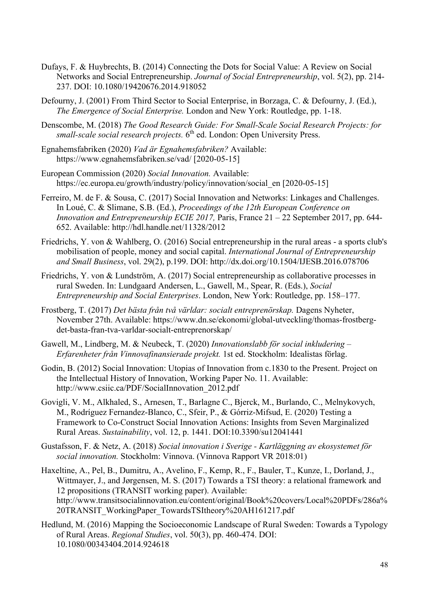- Dufays, F. & Huybrechts, B. (2014) Connecting the Dots for Social Value: A Review on Social Networks and Social Entrepreneurship. *Journal of Social Entrepreneurship*, vol. 5(2), pp. 214- 237. DOI: 10.1080/19420676.2014.918052
- Defourny, J. (2001) From Third Sector to Social Enterprise, in Borzaga, C. & Defourny, J. (Ed.), *The Emergence of Social Enterprise.* London and New York: Routledge, pp. 1-18.
- Denscombe, M. (2018) *The Good Research Guide: For Small-Scale Social Research Projects: for*  small-scale social research projects. 6<sup>th</sup> ed. London: Open University Press.
- Egnahemsfabriken (2020) *Vad är Egnahemsfabriken?* Available: https://www.egnahemsfabriken.se/vad/ [2020-05-15]
- European Commission (2020) *Social Innovation.* Available: https://ec.europa.eu/growth/industry/policy/innovation/social\_en [2020-05-15]
- Ferreiro, M. de F. & Sousa, C. (2017) Social Innovation and Networks: Linkages and Challenges. In Loué, C. & Slimane, S.B. (Ed.), *Proceedings of the 12th European Conference on Innovation and Entrepreneurship ECIE 2017,* Paris, France 21 – 22 September 2017, pp. 644- 652. Available: http://hdl.handle.net/11328/2012
- Friedrichs, Y. von & Wahlberg, O. (2016) Social entrepreneurship in the rural areas a sports club's mobilisation of people, money and social capital. *International Journal of Entrepreneurship and Small Business*, vol. 29(2), p.199. DOI: http://dx.doi.org/10.1504/IJESB.2016.078706
- Friedrichs, Y. von & Lundström, A. (2017) Social entrepreneurship as collaborative processes in rural Sweden. In: Lundgaard Andersen, L., Gawell, M., Spear, R. (Eds.), *Social Entrepreneurship and Social Enterprises*. London, New York: Routledge, pp. 158–177.
- Frostberg, T. (2017) *Det bästa från två världar: socialt entreprenörskap.* Dagens Nyheter, November 27th. Available: https://www.dn.se/ekonomi/global-utveckling/thomas-frostbergdet-basta-fran-tva-varldar-socialt-entreprenorskap/
- Gawell, M., Lindberg, M. & Neubeck, T. (2020) *Innovationslabb för social inkludering – Erfarenheter från Vinnovafinansierade projekt.* 1st ed. Stockholm: Idealistas förlag.
- Godin, B. (2012) Social Innovation: Utopias of Innovation from c.1830 to the Present. Project on the Intellectual History of Innovation, Working Paper No. 11. Available: http://www.csiic.ca/PDF/SocialInnovation\_2012.pdf
- Govigli, V. M., Alkhaled, S., Arnesen, T., Barlagne C., Bjerck, M., Burlando, C., Melnykovych, M., Rodríguez Fernandez-Blanco, C., Sfeir, P., & Górriz-Mifsud, E. (2020) Testing a Framework to Co-Construct Social Innovation Actions: Insights from Seven Marginalized Rural Areas. *Sustainability*, vol. 12, p. 1441. DOI:10.3390/su12041441
- Gustafsson, F. & Netz, A. (2018) *Social innovation i Sverige - Kartläggning av ekosystemet för social innovation.* Stockholm: Vinnova. (Vinnova Rapport VR 2018:01)
- Haxeltine, A., Pel, B., Dumitru, A., Avelino, F., Kemp, R., F., Bauler, T., Kunze, I., Dorland, J., Wittmayer, J., and Jørgensen, M. S. (2017) Towards a TSI theory: a relational framework and 12 propositions (TRANSIT working paper). Available: http://www.transitsocialinnovation.eu/content/original/Book%20covers/Local%20PDFs/286a% 20TRANSIT\_WorkingPaper\_TowardsTSItheory%20AH161217.pdf
- Hedlund, M. (2016) Mapping the Socioeconomic Landscape of Rural Sweden: Towards a Typology of Rural Areas. *Regional Studies*, vol. 50(3), pp. 460-474. DOI: 10.1080/00343404.2014.924618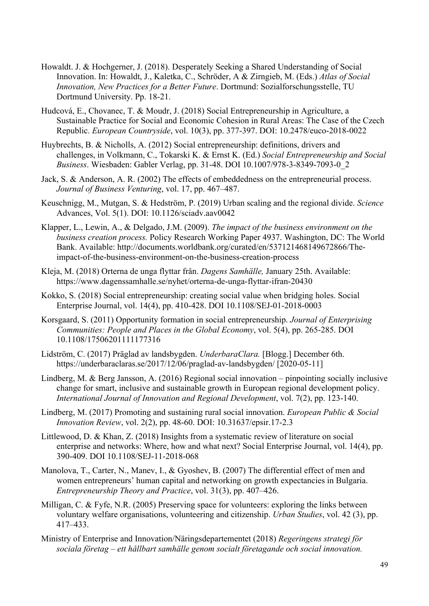- Howaldt. J. & Hochgerner, J. (2018). Desperately Seeking a Shared Understanding of Social Innovation. In: Howaldt, J., Kaletka, C., Schröder, A & Zirngieb, M. (Eds.) *Atlas of Social Innovation, New Practices for a Better Future*. Dortmund: Sozialforschungsstelle, TU Dortmund University. Pp. 18-21.
- Hudcová, E., Chovanec, T. & Moudr, J. (2018) Social Entrepreneurship in Agriculture, a Sustainable Practice for Social and Economic Cohesion in Rural Areas: The Case of the Czech Republic. *European Countryside*, vol. 10(3), pp. 377-397. DOI: 10.2478/euco-2018-0022
- Huybrechts, B. & Nicholls, A. (2012) Social entrepreneurship: definitions, drivers and challenges, in Volkmann, C., Tokarski K. & Ernst K. (Ed.) *Social Entrepreneurship and Social Business*. Wiesbaden: Gabler Verlag, pp. 31-48. DOI 10.1007/978-3-8349-7093-0\_2
- Jack, S. & Anderson, A. R. (2002) The effects of embeddedness on the entrepreneurial process. *Journal of Business Venturing*, vol. 17, pp. 467–487.
- Keuschnigg, M., Mutgan, S. & Hedström, P. (2019) Urban scaling and the regional divide. *Science*  Advances, Vol. 5(1). DOI: 10.1126/sciadv.aav0042
- Klapper, L., Lewin, A., & Delgado, J.M. (2009). *The impact of the business environment on the business creation process.* Policy Research Working Paper 4937. Washington, DC: The World Bank. Available: http://documents.worldbank.org/curated/en/537121468149672866/Theimpact-of-the-business-environment-on-the-business-creation-process
- Kleja, M. (2018) Orterna de unga flyttar från. *Dagens Samhälle,* January 25th. Available: https://www.dagenssamhalle.se/nyhet/orterna-de-unga-flyttar-ifran-20430
- Kokko, S. (2018) Social entrepreneurship: creating social value when bridging holes. Social Enterprise Journal, vol. 14(4), pp. 410-428. DOI 10.1108/SEJ-01-2018-0003
- Korsgaard, S. (2011) Opportunity formation in social entrepreneurship. *Journal of Enterprising Communities: People and Places in the Global Economy*, vol. 5(4), pp. 265-285. DOI 10.1108/17506201111177316
- Lidström, C. (2017) Präglad av landsbygden. *UnderbaraClara.* [Blogg.] December 6th. https://underbaraclaras.se/2017/12/06/praglad-av-landsbygden/ [2020-05-11]
- Lindberg, M. & Berg Jansson, A. (2016) Regional social innovation pinpointing socially inclusive change for smart, inclusive and sustainable growth in European regional development policy. *International Journal of Innovation and Regional Development*, vol. 7(2), pp. 123-140.
- Lindberg, M. (2017) Promoting and sustaining rural social innovation. *European Public & Social Innovation Review*, vol. 2(2), pp. 48-60. DOI: 10.31637/epsir.17-2.3
- Littlewood, D. & Khan, Z. (2018) Insights from a systematic review of literature on social enterprise and networks: Where, how and what next? Social Enterprise Journal, vol. 14(4), pp. 390-409. DOI 10.1108/SEJ-11-2018-068
- Manolova, T., Carter, N., Maney, I., & Gyoshey, B. (2007) The differential effect of men and women entrepreneurs' human capital and networking on growth expectancies in Bulgaria. *Entrepreneurship Theory and Practice*, vol. 31(3), pp. 407–426.
- Milligan, C. & Fyfe, N.R. (2005) Preserving space for volunteers: exploring the links between voluntary welfare organisations, volunteering and citizenship. *Urban Studies*, vol. 42 (3), pp. 417–433.
- Ministry of Enterprise and Innovation/Näringsdepartementet (2018) *Regeringens strategi för sociala företag – ett hållbart samhälle genom socialt företagande och social innovation.*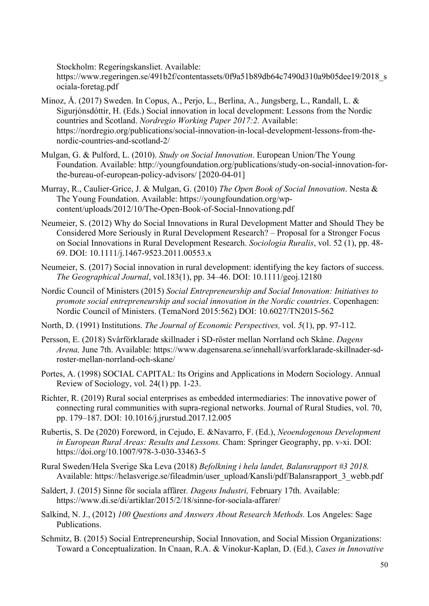Stockholm: Regeringskansliet. Available:

https://www.regeringen.se/491b2f/contentassets/0f9a51b89db64c7490d310a9b05dee19/2018\_s ociala-foretag.pdf

- Minoz, Å. (2017) Sweden. In Copus, A., Perjo, L., Berlina, A., Jungsberg, L., Randall, L. & Sigurjónsdóttir, H. (Eds.) Social innovation in local development: Lessons from the Nordic countries and Scotland. *Nordregio Working Paper 2017:2.* Available: https://nordregio.org/publications/social-innovation-in-local-development-lessons-from-thenordic-countries-and-scotland-2/
- Mulgan, G. & Pulford, L. (2010). *Study on Social Innovation*. European Union/The Young Foundation. Available: http://youngfoundation.org/publications/study-on-social-innovation-forthe-bureau-of-european-policy-advisors/ [2020-04-01]
- Murray, R., Caulier-Grice, J. & Mulgan, G. (2010) *The Open Book of Social Innovation*. Nesta & The Young Foundation. Available: https://youngfoundation.org/wpcontent/uploads/2012/10/The-Open-Book-of-Social-Innovationg.pdf
- Neumeier, S. (2012) Why do Social Innovations in Rural Development Matter and Should They be Considered More Seriously in Rural Development Research? – Proposal for a Stronger Focus on Social Innovations in Rural Development Research. *Sociologia Ruralis*, vol. 52 (1), pp. 48- 69. DOI: 10.1111/j.1467-9523.2011.00553.x
- Neumeier, S. (2017) Social innovation in rural development: identifying the key factors of success. *The Geographical Journal*, vol.183(1), pp. 34–46. DOI: 10.1111/geoj.12180
- Nordic Council of Ministers (2015) *Social Entrepreneurship and Social Innovation: Initiatives to promote social entrepreneurship and social innovation in the Nordic countries*. Copenhagen: Nordic Council of Ministers. (TemaNord 2015:562) DOI: 10.6027/TN2015-562
- North, D. (1991) Institutions. *The Journal of Economic Perspectives,* vol. *5*(1), pp. 97-112.
- Persson, E. (2018) Svårförklarade skillnader i SD-röster mellan Norrland och Skåne. *Dagens Arena,* June 7th. Available: https://www.dagensarena.se/innehall/svarforklarade-skillnader-sdroster-mellan-norrland-och-skane/
- Portes, A. (1998) SOCIAL CAPITAL: Its Origins and Applications in Modern Sociology. Annual Review of Sociology, vol. 24(1) pp. 1-23.
- Richter, R. (2019) Rural social enterprises as embedded intermediaries: The innovative power of connecting rural communities with supra-regional networks. Journal of Rural Studies, vol. 70, pp. 179–187. DOI: 10.1016/j.jrurstud.2017.12.005
- Rubertis, S. De (2020) Foreword, in Cejudo, E. &Navarro, F. (Ed.), *Neoendogenous Development in European Rural Areas: Results and Lessons.* Cham: Springer Geography, pp. v-xi. DOI: https://doi.org/10.1007/978-3-030-33463-5
- Rural Sweden/Hela Sverige Ska Leva (2018) *Befolkning i hela landet, Balansrapport #3 2018.*  Available: https://helasverige.se/fileadmin/user\_upload/Kansli/pdf/Balansrapport\_3\_webb.pdf
- Saldert, J. (2015) Sinne för sociala affärer*. Dagens Industri,* February 17th. Available: https://www.di.se/di/artiklar/2015/2/18/sinne-for-sociala-affarer/
- Salkind, N. J., (2012) *100 Questions and Answers About Research Methods.* Los Angeles: Sage Publications.
- Schmitz, B. (2015) Social Entrepreneurship, Social Innovation, and Social Mission Organizations: Toward a Conceptualization. In Cnaan, R.A. & Vinokur-Kaplan, D. (Ed.), *Cases in Innovative*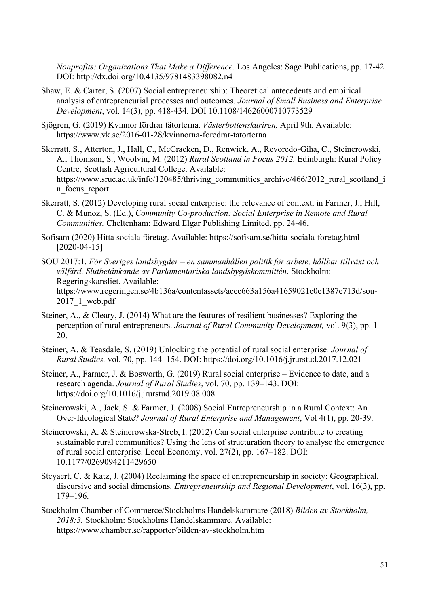*Nonprofits: Organizations That Make a Difference.* Los Angeles: Sage Publications, pp. 17-42. DOI: http://dx.doi.org/10.4135/9781483398082.n4

- Shaw, E. & Carter, S. (2007) Social entrepreneurship: Theoretical antecedents and empirical analysis of entrepreneurial processes and outcomes. *Journal of Small Business and Enterprise Development*, vol. 14(3), pp. 418-434. DOI 10.1108/14626000710773529
- Sjögren, G. (2019) Kvinnor fördrar tätorterna. *Västerbottenskuriren,* April 9th. Available: https://www.vk.se/2016-01-28/kvinnorna-foredrar-tatorterna
- Skerratt, S., Atterton, J., Hall, C., McCracken, D., Renwick, A., Revoredo-Giha, C., Steinerowski, A., Thomson, S., Woolvin, M. (2012) *Rural Scotland in Focus 2012.* Edinburgh: Rural Policy Centre, Scottish Agricultural College. Available: https://www.sruc.ac.uk/info/120485/thriving\_communities\_archive/466/2012\_rural\_scotland\_i n\_focus\_report
- Skerratt, S. (2012) Developing rural social enterprise: the relevance of context, in Farmer, J., Hill, C. & Munoz, S. (Ed.), *Community Co-production: Social Enterprise in Remote and Rural Communities.* Cheltenham: Edward Elgar Publishing Limited, pp. 24-46.
- Sofisam (2020) Hitta sociala företag. Available: https://sofisam.se/hitta-sociala-foretag.html [2020-04-15]
- SOU 2017:1. *För Sveriges landsbygder – en sammanhållen politik för arbete, hållbar tillväxt och välfärd. Slutbetänkande av Parlamentariska landsbygdskommittén*. Stockholm: Regeringskansliet. Available: https://www.regeringen.se/4b136a/contentassets/acec663a156a41659021e0e1387e713d/sou- $2017$  1 web.pdf
- Steiner, A., & Cleary, J. (2014) What are the features of resilient businesses? Exploring the perception of rural entrepreneurs. *Journal of Rural Community Development,* vol. 9(3), pp. 1- 20.
- Steiner, A. & Teasdale, S. (2019) Unlocking the potential of rural social enterprise. *Journal of Rural Studies,* vol. 70, pp. 144–154. DOI: https://doi.org/10.1016/j.jrurstud.2017.12.021
- Steiner, A., Farmer, J. & Bosworth, G. (2019) Rural social enterprise Evidence to date, and a research agenda. *Journal of Rural Studies*, vol. 70, pp. 139–143. DOI: https://doi.org/10.1016/j.jrurstud.2019.08.008
- Steinerowski, A., Jack, S. & Farmer, J. (2008) Social Entrepreneurship in a Rural Context: An Over-Ideological State? *Journal of Rural Enterprise and Management*, Vol 4(1), pp. 20-39.
- Steinerowski, A. & Steinerowska-Streb, I. (2012) Can social enterprise contribute to creating sustainable rural communities? Using the lens of structuration theory to analyse the emergence of rural social enterprise. Local Economy, vol. 27(2), pp. 167–182. DOI: 10.1177/0269094211429650
- Steyaert, C. & Katz, J. (2004) Reclaiming the space of entrepreneurship in society: Geographical, discursive and social dimensions*. Entrepreneurship and Regional Development*, vol. 16(3), pp. 179–196.
- Stockholm Chamber of Commerce/Stockholms Handelskammare (2018) *Bilden av Stockholm, 2018:3.* Stockholm: Stockholms Handelskammare. Available: https://www.chamber.se/rapporter/bilden-av-stockholm.htm